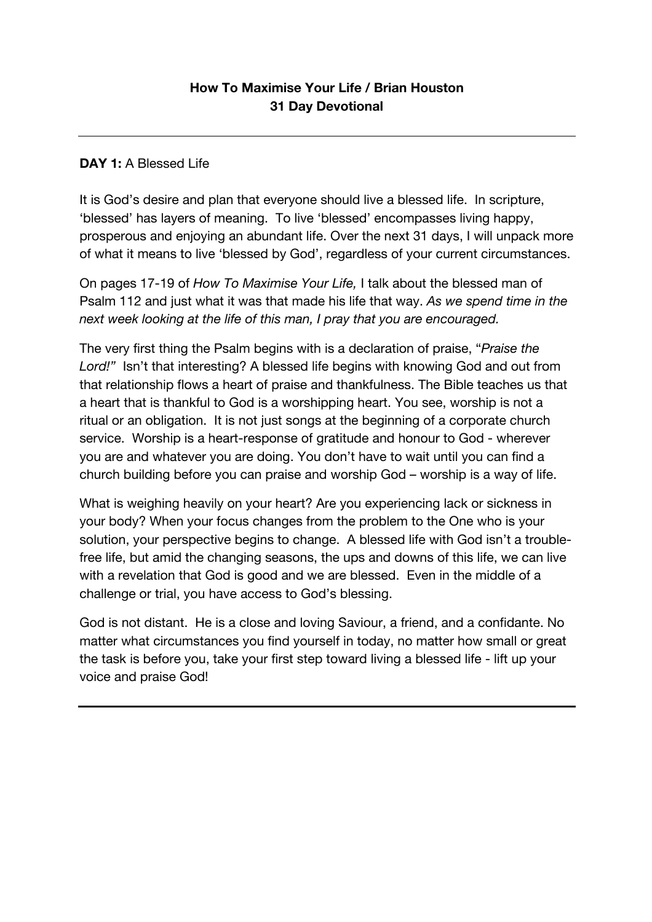### **DAY 1:** A Blessed Life

It is God's desire and plan that everyone should live a blessed life. In scripture, 'blessed' has layers of meaning. To live 'blessed' encompasses living happy, prosperous and enjoying an abundant life. Over the next 31 days, I will unpack more of what it means to live 'blessed by God', regardless of your current circumstances.

On pages 17-19 of *How To Maximise Your Life,* I talk about the blessed man of Psalm 112 and just what it was that made his life that way. *As we spend time in the next week looking at the life of this man, I pray that you are encouraged.* 

The very first thing the Psalm begins with is a declaration of praise, "*Praise the Lord!"* Isn't that interesting? A blessed life begins with knowing God and out from that relationship flows a heart of praise and thankfulness. The Bible teaches us that a heart that is thankful to God is a worshipping heart. You see, worship is not a ritual or an obligation. It is not just songs at the beginning of a corporate church service. Worship is a heart-response of gratitude and honour to God - wherever you are and whatever you are doing. You don't have to wait until you can find a church building before you can praise and worship God – worship is a way of life.

What is weighing heavily on your heart? Are you experiencing lack or sickness in your body? When your focus changes from the problem to the One who is your solution, your perspective begins to change. A blessed life with God isn't a troublefree life, but amid the changing seasons, the ups and downs of this life, we can live with a revelation that God is good and we are blessed. Even in the middle of a challenge or trial, you have access to God's blessing.

God is not distant. He is a close and loving Saviour, a friend, and a confidante. No matter what circumstances you find yourself in today, no matter how small or great the task is before you, take your first step toward living a blessed life - lift up your voice and praise God!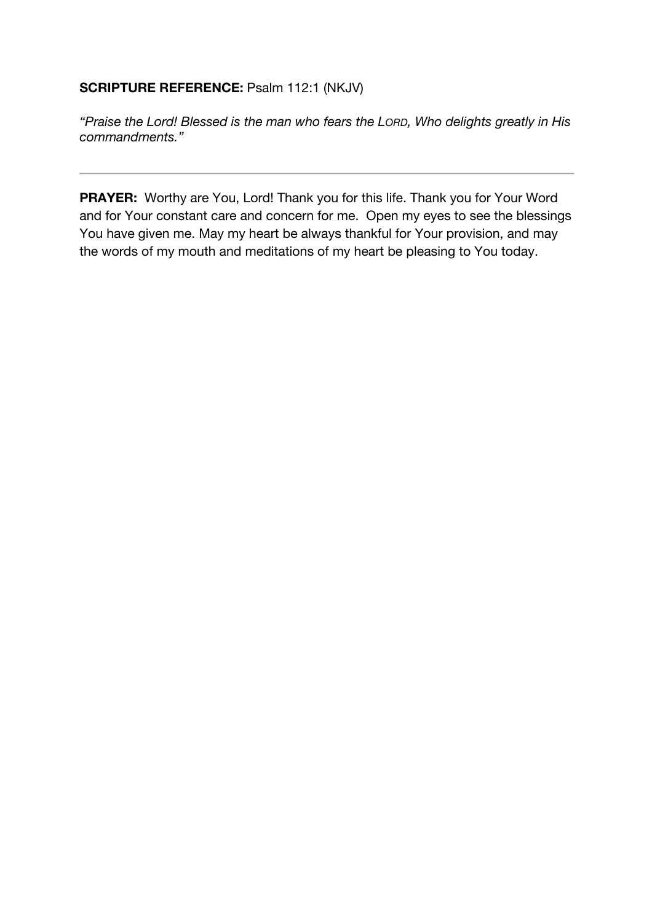## **SCRIPTURE REFERENCE:** Psalm 112:1 (NKJV)

*"Praise the Lord! Blessed is the man who fears the LORD, Who delights greatly in His commandments."*

**PRAYER:** Worthy are You, Lord! Thank you for this life. Thank you for Your Word and for Your constant care and concern for me. Open my eyes to see the blessings You have given me. May my heart be always thankful for Your provision, and may the words of my mouth and meditations of my heart be pleasing to You today.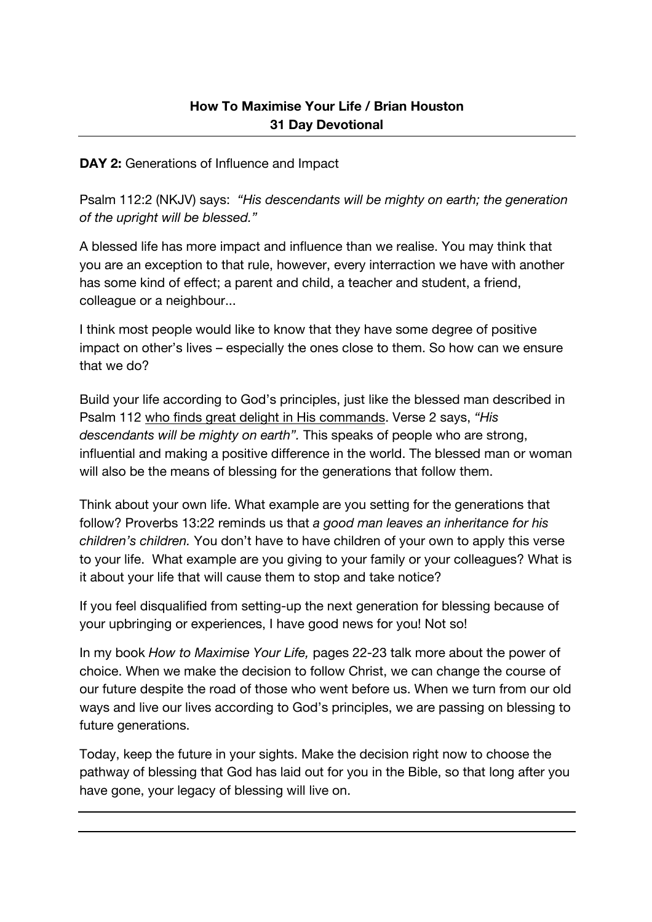**DAY 2:** Generations of Influence and Impact

Psalm 112:2 (NKJV) says: *"His descendants will be mighty on earth; the generation of the upright will be blessed."*

A blessed life has more impact and influence than we realise. You may think that you are an exception to that rule, however, every interraction we have with another has some kind of effect; a parent and child, a teacher and student, a friend, colleague or a neighbour...

I think most people would like to know that they have some degree of positive impact on other's lives – especially the ones close to them. So how can we ensure that we do?

Build your life according to God's principles, just like the blessed man described in Psalm 112 who finds great delight in His commands. Verse 2 says, *"His descendants will be mighty on earth".* This speaks of people who are strong, influential and making a positive difference in the world. The blessed man or woman will also be the means of blessing for the generations that follow them.

Think about your own life. What example are you setting for the generations that follow? Proverbs 13:22 reminds us that *a good man leaves an inheritance for his children's children.* You don't have to have children of your own to apply this verse to your life. What example are you giving to your family or your colleagues? What is it about your life that will cause them to stop and take notice?

If you feel disqualified from setting-up the next generation for blessing because of your upbringing or experiences, I have good news for you! Not so!

In my book *How to Maximise Your Life,* pages 22-23 talk more about the power of choice. When we make the decision to follow Christ, we can change the course of our future despite the road of those who went before us. When we turn from our old ways and live our lives according to God's principles, we are passing on blessing to future generations.

Today, keep the future in your sights. Make the decision right now to choose the pathway of blessing that God has laid out for you in the Bible, so that long after you have gone, your legacy of blessing will live on.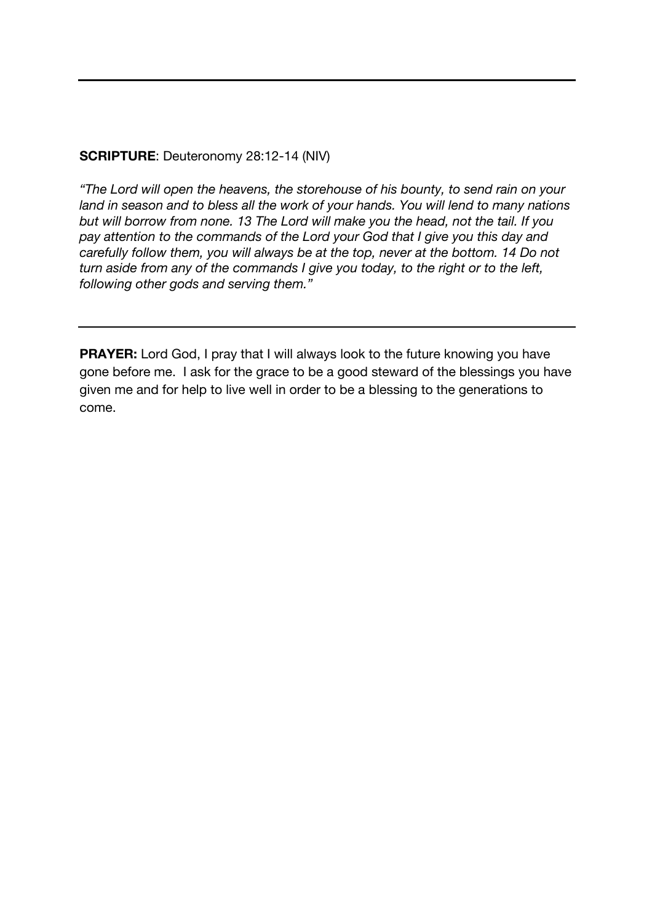### **SCRIPTURE**: Deuteronomy 28:12-14 (NIV)

*"The Lord will open the heavens, the storehouse of his bounty, to send rain on your land in season and to bless all the work of your hands. You will lend to many nations but will borrow from none. 13 The Lord will make you the head, not the tail. If you pay attention to the commands of the Lord your God that I give you this day and carefully follow them, you will always be at the top, never at the bottom. 14 Do not turn aside from any of the commands I give you today, to the right or to the left, following other gods and serving them."*

**PRAYER:** Lord God, I pray that I will always look to the future knowing you have gone before me. I ask for the grace to be a good steward of the blessings you have given me and for help to live well in order to be a blessing to the generations to come.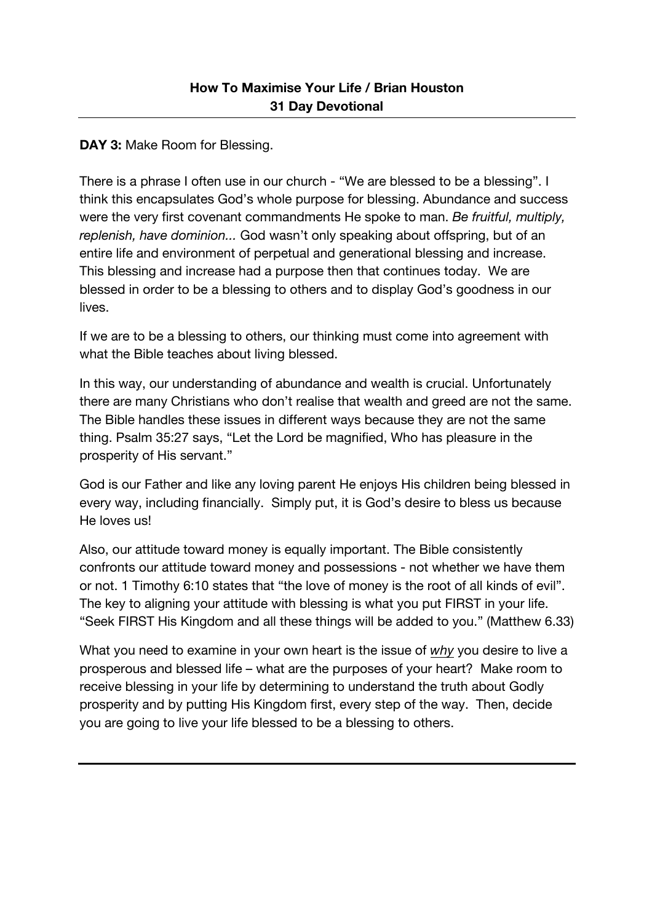## **DAY 3: Make Room for Blessing.**

There is a phrase I often use in our church - "We are blessed to be a blessing". I think this encapsulates God's whole purpose for blessing. Abundance and success were the very first covenant commandments He spoke to man. *Be fruitful, multiply, replenish, have dominion...* God wasn't only speaking about offspring, but of an entire life and environment of perpetual and generational blessing and increase. This blessing and increase had a purpose then that continues today. We are blessed in order to be a blessing to others and to display God's goodness in our lives.

If we are to be a blessing to others, our thinking must come into agreement with what the Bible teaches about living blessed.

In this way, our understanding of abundance and wealth is crucial. Unfortunately there are many Christians who don't realise that wealth and greed are not the same. The Bible handles these issues in different ways because they are not the same thing. Psalm 35:27 says, "Let the Lord be magnified, Who has pleasure in the prosperity of His servant."

God is our Father and like any loving parent He enjoys His children being blessed in every way, including financially. Simply put, it is God's desire to bless us because He loves us!

Also, our attitude toward money is equally important. The Bible consistently confronts our attitude toward money and possessions - not whether we have them or not. 1 Timothy 6:10 states that "the love of money is the root of all kinds of evil". The key to aligning your attitude with blessing is what you put FIRST in your life. "Seek FIRST His Kingdom and all these things will be added to you." (Matthew 6.33)

What you need to examine in your own heart is the issue of *why* you desire to live a prosperous and blessed life – what are the purposes of your heart? Make room to receive blessing in your life by determining to understand the truth about Godly prosperity and by putting His Kingdom first, every step of the way. Then, decide you are going to live your life blessed to be a blessing to others.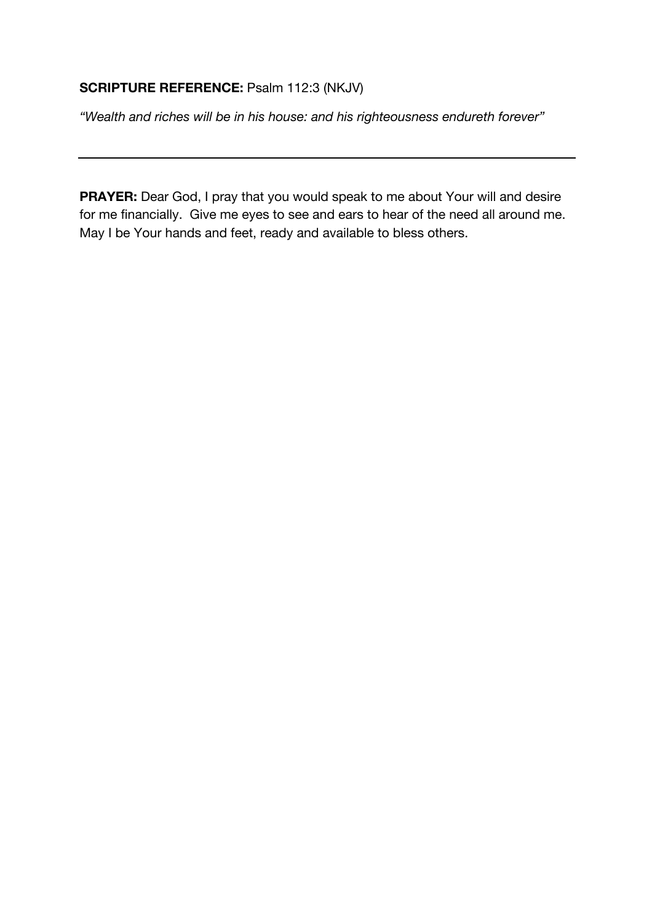# **SCRIPTURE REFERENCE:** Psalm 112:3 (NKJV)

*"Wealth and riches will be in his house: and his righteousness endureth forever"*

**PRAYER:** Dear God, I pray that you would speak to me about Your will and desire for me financially. Give me eyes to see and ears to hear of the need all around me. May I be Your hands and feet, ready and available to bless others.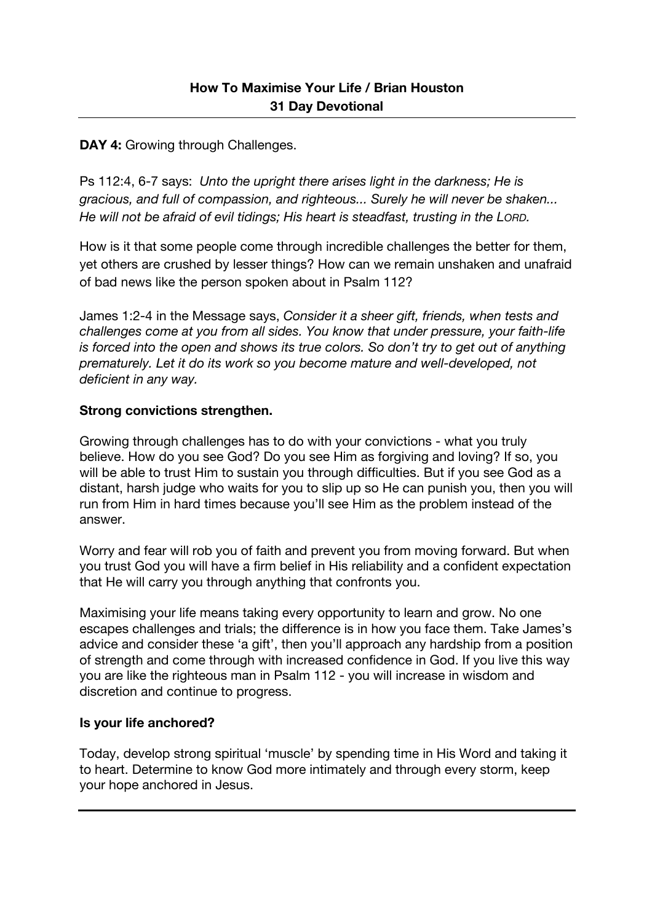### **DAY 4: Growing through Challenges.**

Ps 112:4, 6-7 says: *Unto the upright there arises light in the darkness; He is gracious, and full of compassion, and righteous... Surely he will never be shaken... He will not be afraid of evil tidings; His heart is steadfast, trusting in the LORD.*

How is it that some people come through incredible challenges the better for them, yet others are crushed by lesser things? How can we remain unshaken and unafraid of bad news like the person spoken about in Psalm 112?

James 1:2-4 in the Message says, *Consider it a sheer gift, friends, when tests and challenges come at you from all sides. You know that under pressure, your faith-life is forced into the open and shows its true colors. So don't try to get out of anything prematurely. Let it do its work so you become mature and well-developed, not deficient in any way.*

#### **Strong convictions strengthen.**

Growing through challenges has to do with your convictions - what you truly believe. How do you see God? Do you see Him as forgiving and loving? If so, you will be able to trust Him to sustain you through difficulties. But if you see God as a distant, harsh judge who waits for you to slip up so He can punish you, then you will run from Him in hard times because you'll see Him as the problem instead of the answer.

Worry and fear will rob you of faith and prevent you from moving forward. But when you trust God you will have a firm belief in His reliability and a confident expectation that He will carry you through anything that confronts you.

Maximising your life means taking every opportunity to learn and grow. No one escapes challenges and trials; the difference is in how you face them. Take James's advice and consider these 'a gift', then you'll approach any hardship from a position of strength and come through with increased confidence in God. If you live this way you are like the righteous man in Psalm 112 - you will increase in wisdom and discretion and continue to progress.

#### **Is your life anchored?**

Today, develop strong spiritual 'muscle' by spending time in His Word and taking it to heart. Determine to know God more intimately and through every storm, keep your hope anchored in Jesus.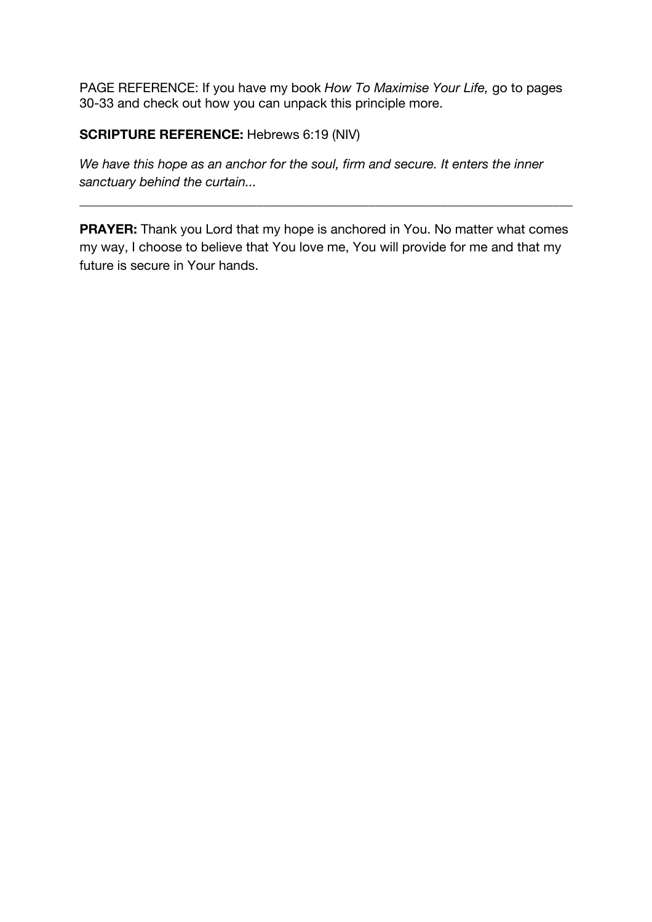PAGE REFERENCE: If you have my book *How To Maximise Your Life,* go to pages 30-33 and check out how you can unpack this principle more.

### **SCRIPTURE REFERENCE:** Hebrews 6:19 (NIV)

*We have this hope as an anchor for the soul, firm and secure. It enters the inner sanctuary behind the curtain...* 

**PRAYER:** Thank you Lord that my hope is anchored in You. No matter what comes my way, I choose to believe that You love me, You will provide for me and that my future is secure in Your hands.

\_\_\_\_\_\_\_\_\_\_\_\_\_\_\_\_\_\_\_\_\_\_\_\_\_\_\_\_\_\_\_\_\_\_\_\_\_\_\_\_\_\_\_\_\_\_\_\_\_\_\_\_\_\_\_\_\_\_\_\_\_\_\_\_\_\_\_\_\_\_\_\_\_\_\_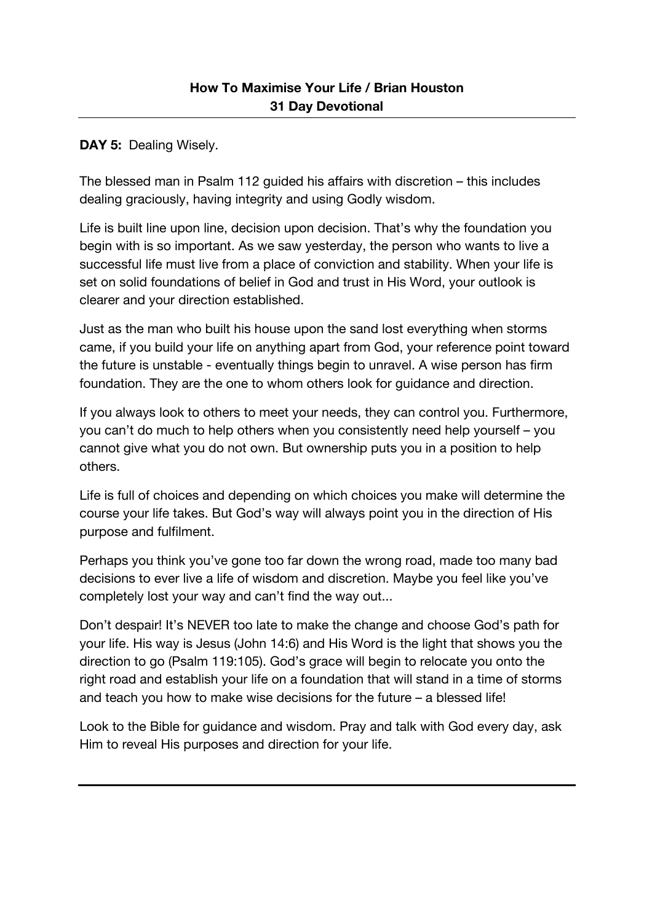**DAY 5: Dealing Wisely.** 

The blessed man in Psalm 112 guided his affairs with discretion – this includes dealing graciously, having integrity and using Godly wisdom.

Life is built line upon line, decision upon decision. That's why the foundation you begin with is so important. As we saw yesterday, the person who wants to live a successful life must live from a place of conviction and stability. When your life is set on solid foundations of belief in God and trust in His Word, your outlook is clearer and your direction established.

Just as the man who built his house upon the sand lost everything when storms came, if you build your life on anything apart from God, your reference point toward the future is unstable - eventually things begin to unravel. A wise person has firm foundation. They are the one to whom others look for guidance and direction.

If you always look to others to meet your needs, they can control you. Furthermore, you can't do much to help others when you consistently need help yourself – you cannot give what you do not own. But ownership puts you in a position to help others.

Life is full of choices and depending on which choices you make will determine the course your life takes. But God's way will always point you in the direction of His purpose and fulfilment.

Perhaps you think you've gone too far down the wrong road, made too many bad decisions to ever live a life of wisdom and discretion. Maybe you feel like you've completely lost your way and can't find the way out...

Don't despair! It's NEVER too late to make the change and choose God's path for your life. His way is Jesus (John 14:6) and His Word is the light that shows you the direction to go (Psalm 119:105). God's grace will begin to relocate you onto the right road and establish your life on a foundation that will stand in a time of storms and teach you how to make wise decisions for the future – a blessed life!

Look to the Bible for guidance and wisdom. Pray and talk with God every day, ask Him to reveal His purposes and direction for your life.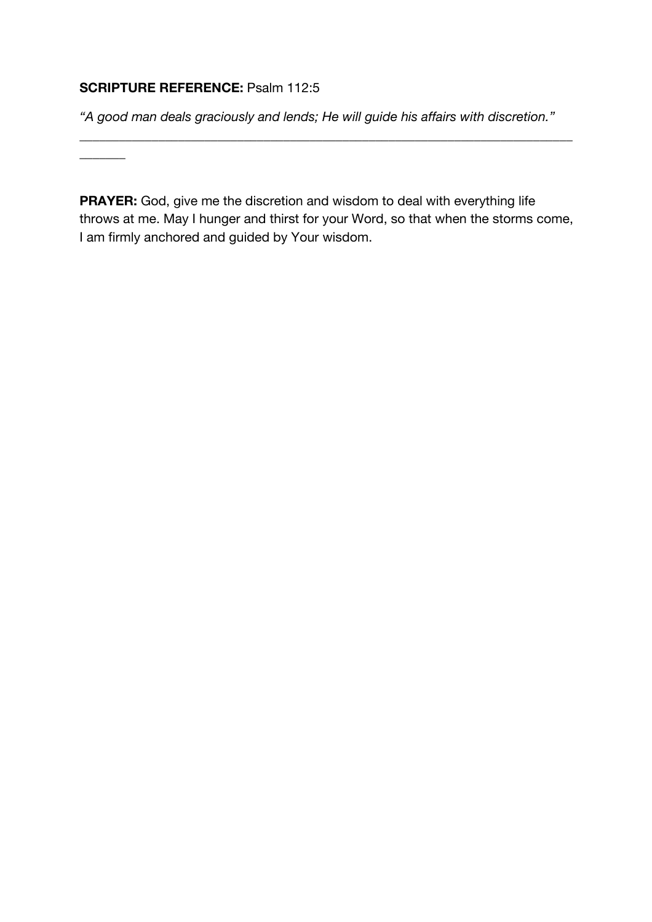## **SCRIPTURE REFERENCE:** Psalm 112:5

 $\overline{\phantom{a}}$ 

*"A good man deals graciously and lends; He will guide his affairs with discretion."*

\_\_\_\_\_\_\_\_\_\_\_\_\_\_\_\_\_\_\_\_\_\_\_\_\_\_\_\_\_\_\_\_\_\_\_\_\_\_\_\_\_\_\_\_\_\_\_\_\_\_\_\_\_\_\_\_\_\_\_\_\_\_\_\_\_\_\_\_\_\_\_\_\_\_\_

**PRAYER:** God, give me the discretion and wisdom to deal with everything life throws at me. May I hunger and thirst for your Word, so that when the storms come, I am firmly anchored and guided by Your wisdom.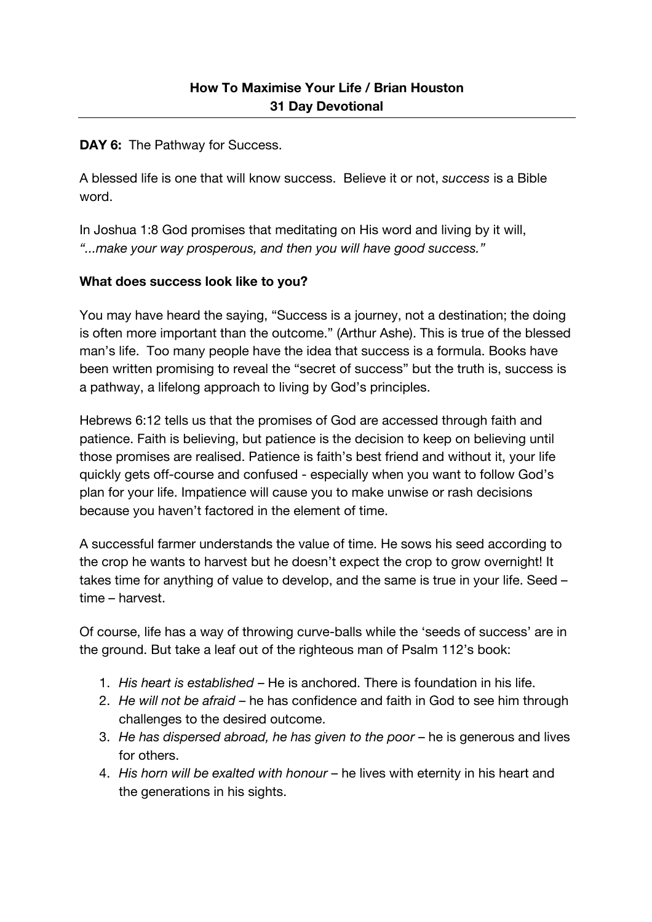**DAY 6:** The Pathway for Success.

A blessed life is one that will know success. Believe it or not, *success* is a Bible word.

In Joshua 1:8 God promises that meditating on His word and living by it will, *"...make your way prosperous, and then you will have good success."*

### **What does success look like to you?**

You may have heard the saying, "Success is a journey, not a destination; the doing is often more important than the outcome." (Arthur Ashe). This is true of the blessed man's life. Too many people have the idea that success is a formula. Books have been written promising to reveal the "secret of success" but the truth is, success is a pathway, a lifelong approach to living by God's principles.

Hebrews 6:12 tells us that the promises of God are accessed through faith and patience. Faith is believing, but patience is the decision to keep on believing until those promises are realised. Patience is faith's best friend and without it, your life quickly gets off-course and confused - especially when you want to follow God's plan for your life. Impatience will cause you to make unwise or rash decisions because you haven't factored in the element of time.

A successful farmer understands the value of time. He sows his seed according to the crop he wants to harvest but he doesn't expect the crop to grow overnight! It takes time for anything of value to develop, and the same is true in your life. Seed – time – harvest.

Of course, life has a way of throwing curve-balls while the 'seeds of success' are in the ground. But take a leaf out of the righteous man of Psalm 112's book:

- 1. *His heart is established* He is anchored. There is foundation in his life.
- 2. *He will not be afraid* he has confidence and faith in God to see him through challenges to the desired outcome.
- 3. *He has dispersed abroad, he has given to the poor* he is generous and lives for others.
- 4. *His horn will be exalted with honour* he lives with eternity in his heart and the generations in his sights.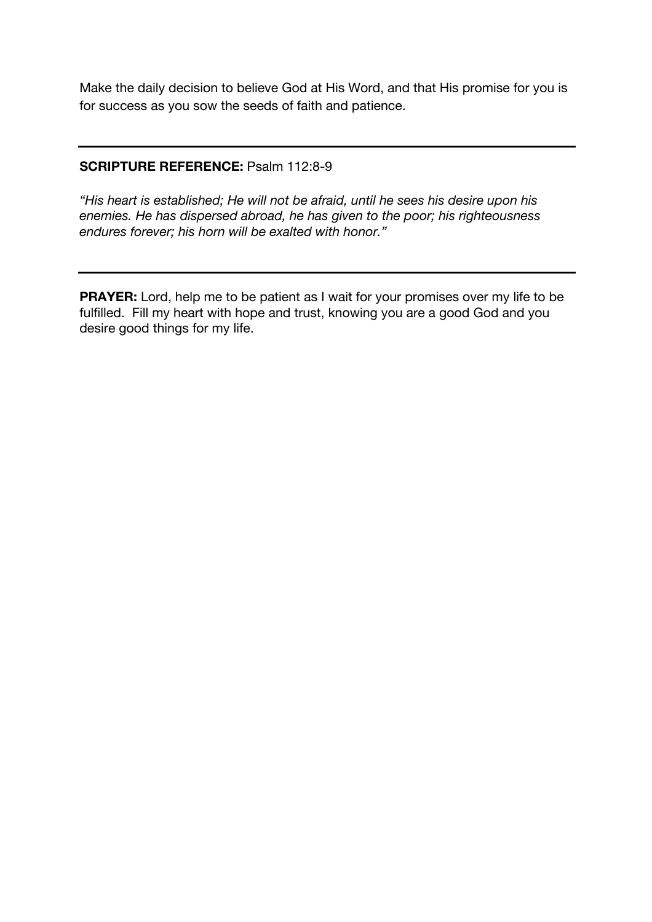Make the daily decision to believe God at His Word, and that His promise for you is for success as you sow the seeds of faith and patience.

### **SCRIPTURE REFERENCE:** Psalm 112:8-9

*"His heart is established; He will not be afraid, until he sees his desire upon his enemies. He has dispersed abroad, he has given to the poor; his righteousness endures forever; his horn will be exalted with honor."*

**PRAYER:** Lord, help me to be patient as I wait for your promises over my life to be fulfilled. Fill my heart with hope and trust, knowing you are a good God and you desire good things for my life.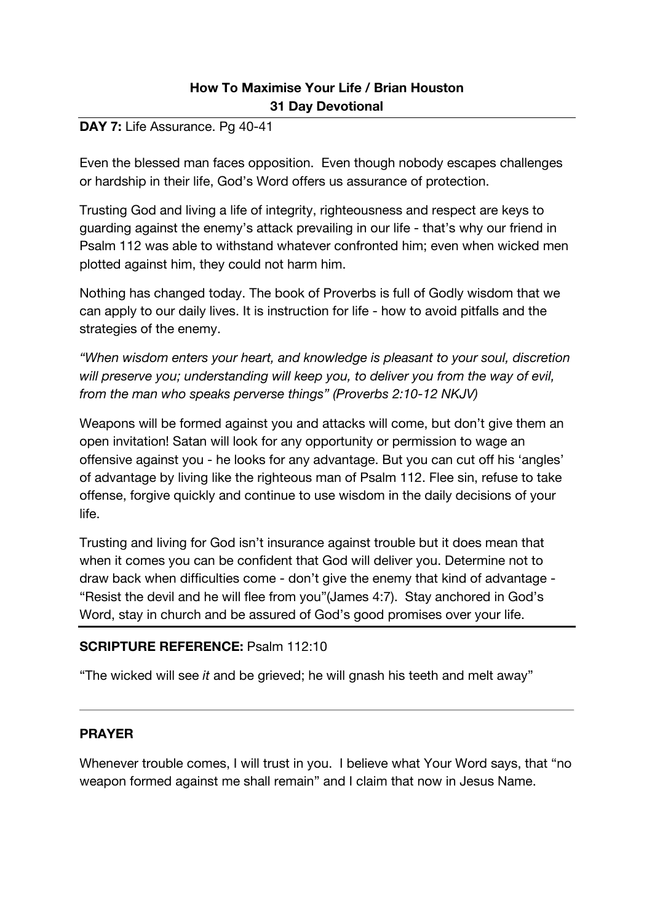### DAY 7: Life Assurance. Pg 40-41

Even the blessed man faces opposition. Even though nobody escapes challenges or hardship in their life, God's Word offers us assurance of protection.

Trusting God and living a life of integrity, righteousness and respect are keys to guarding against the enemy's attack prevailing in our life - that's why our friend in Psalm 112 was able to withstand whatever confronted him; even when wicked men plotted against him, they could not harm him.

Nothing has changed today. The book of Proverbs is full of Godly wisdom that we can apply to our daily lives. It is instruction for life - how to avoid pitfalls and the strategies of the enemy.

*"When wisdom enters your heart, and knowledge is pleasant to your soul, discretion will preserve you; understanding will keep you, to deliver you from the way of evil, from the man who speaks perverse things" (Proverbs 2:10-12 NKJV)*

Weapons will be formed against you and attacks will come, but don't give them an open invitation! Satan will look for any opportunity or permission to wage an offensive against you - he looks for any advantage. But you can cut off his 'angles' of advantage by living like the righteous man of Psalm 112. Flee sin, refuse to take offense, forgive quickly and continue to use wisdom in the daily decisions of your life.

Trusting and living for God isn't insurance against trouble but it does mean that when it comes you can be confident that God will deliver you. Determine not to draw back when difficulties come - don't give the enemy that kind of advantage - "Resist the devil and he will flee from you"(James 4:7). Stay anchored in God's Word, stay in church and be assured of God's good promises over your life.

### **SCRIPTURE REFERENCE:** Psalm 112:10

"The wicked will see *it* and be grieved; he will gnash his teeth and melt away"

### **PRAYER**

Whenever trouble comes, I will trust in you. I believe what Your Word says, that "no weapon formed against me shall remain" and I claim that now in Jesus Name.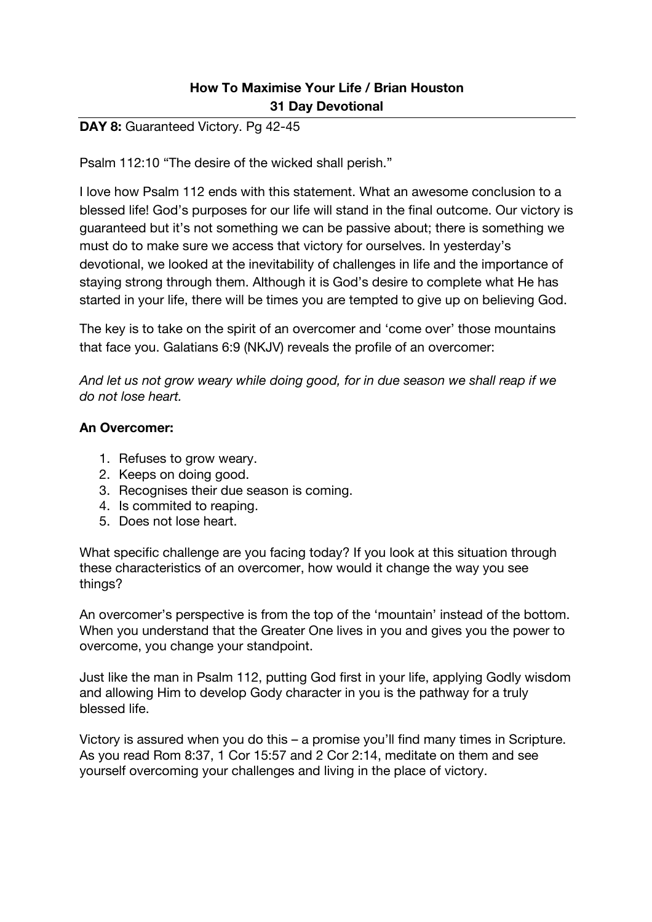### DAY 8: Guaranteed Victory. Pg 42-45

Psalm 112:10 "The desire of the wicked shall perish."

I love how Psalm 112 ends with this statement. What an awesome conclusion to a blessed life! God's purposes for our life will stand in the final outcome. Our victory is guaranteed but it's not something we can be passive about; there is something we must do to make sure we access that victory for ourselves. In yesterday's devotional, we looked at the inevitability of challenges in life and the importance of staying strong through them. Although it is God's desire to complete what He has started in your life, there will be times you are tempted to give up on believing God.

The key is to take on the spirit of an overcomer and 'come over' those mountains that face you. Galatians 6:9 (NKJV) reveals the profile of an overcomer:

*And let us not grow weary while doing good, for in due season we shall reap if we do not lose heart.* 

#### **An Overcomer:**

- 1. Refuses to grow weary.
- 2. Keeps on doing good.
- 3. Recognises their due season is coming.
- 4. Is commited to reaping.
- 5. Does not lose heart.

What specific challenge are you facing today? If you look at this situation through these characteristics of an overcomer, how would it change the way you see things?

An overcomer's perspective is from the top of the 'mountain' instead of the bottom. When you understand that the Greater One lives in you and gives you the power to overcome, you change your standpoint.

Just like the man in Psalm 112, putting God first in your life, applying Godly wisdom and allowing Him to develop Gody character in you is the pathway for a truly blessed life.

Victory is assured when you do this – a promise you'll find many times in Scripture. As you read Rom 8:37, 1 Cor 15:57 and 2 Cor 2:14, meditate on them and see yourself overcoming your challenges and living in the place of victory.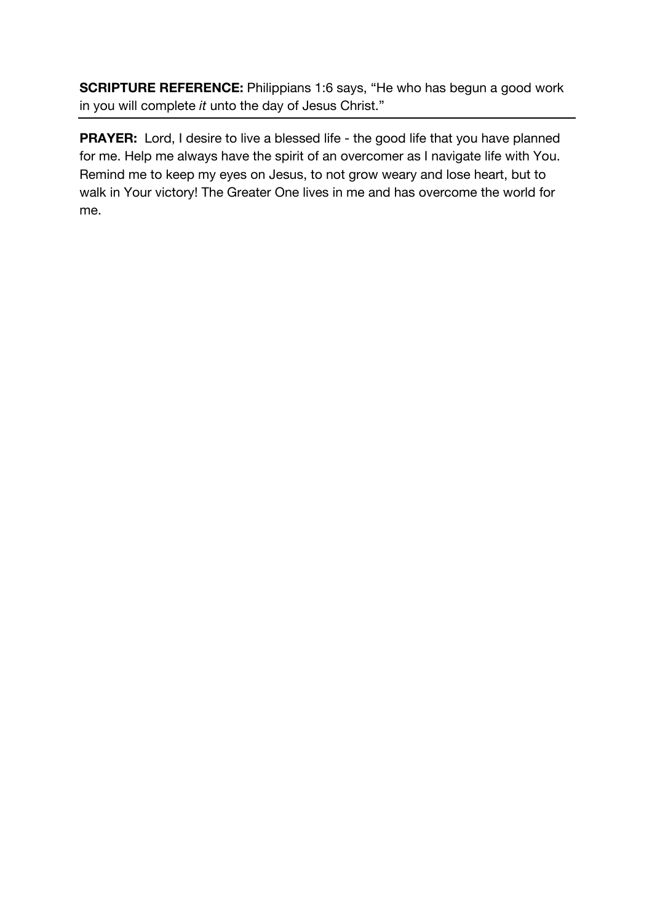**SCRIPTURE REFERENCE:** Philippians 1:6 says, "He who has begun a good work in you will complete *it* unto the day of Jesus Christ."

**PRAYER:** Lord, I desire to live a blessed life - the good life that you have planned for me. Help me always have the spirit of an overcomer as I navigate life with You. Remind me to keep my eyes on Jesus, to not grow weary and lose heart, but to walk in Your victory! The Greater One lives in me and has overcome the world for me.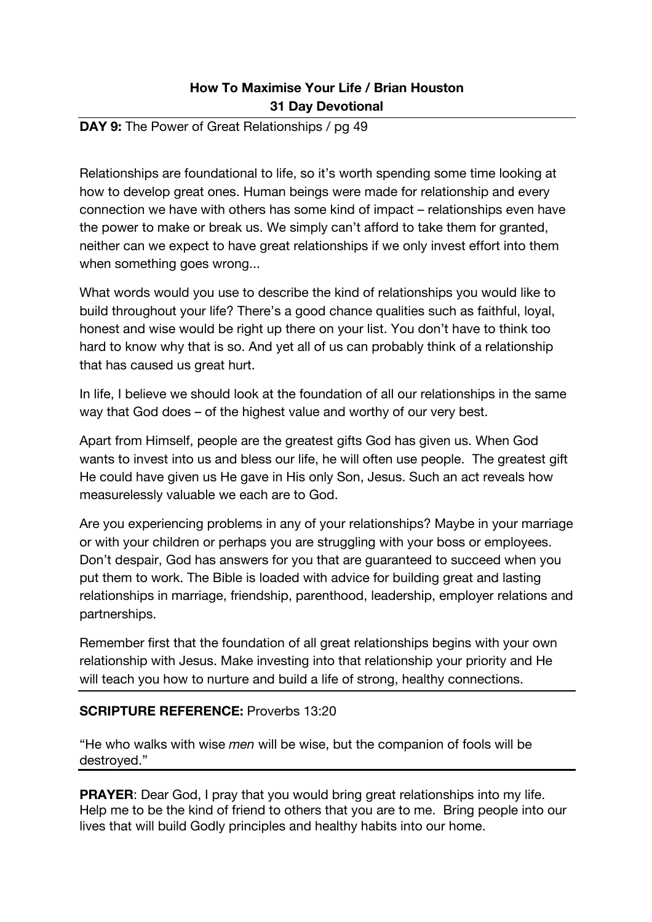#### **DAY 9:** The Power of Great Relationships / pg 49

Relationships are foundational to life, so it's worth spending some time looking at how to develop great ones. Human beings were made for relationship and every connection we have with others has some kind of impact – relationships even have the power to make or break us. We simply can't afford to take them for granted, neither can we expect to have great relationships if we only invest effort into them when something goes wrong...

What words would you use to describe the kind of relationships you would like to build throughout your life? There's a good chance qualities such as faithful, loyal, honest and wise would be right up there on your list. You don't have to think too hard to know why that is so. And yet all of us can probably think of a relationship that has caused us great hurt.

In life, I believe we should look at the foundation of all our relationships in the same way that God does – of the highest value and worthy of our very best.

Apart from Himself, people are the greatest gifts God has given us. When God wants to invest into us and bless our life, he will often use people. The greatest gift He could have given us He gave in His only Son, Jesus. Such an act reveals how measurelessly valuable we each are to God.

Are you experiencing problems in any of your relationships? Maybe in your marriage or with your children or perhaps you are struggling with your boss or employees. Don't despair, God has answers for you that are guaranteed to succeed when you put them to work. The Bible is loaded with advice for building great and lasting relationships in marriage, friendship, parenthood, leadership, employer relations and partnerships.

Remember first that the foundation of all great relationships begins with your own relationship with Jesus. Make investing into that relationship your priority and He will teach you how to nurture and build a life of strong, healthy connections.

### **SCRIPTURE REFERENCE:** Proverbs 13:20

"He who walks with wise *men* will be wise, but the companion of fools will be destroyed."

**PRAYER:** Dear God, I pray that you would bring great relationships into my life. Help me to be the kind of friend to others that you are to me. Bring people into our lives that will build Godly principles and healthy habits into our home.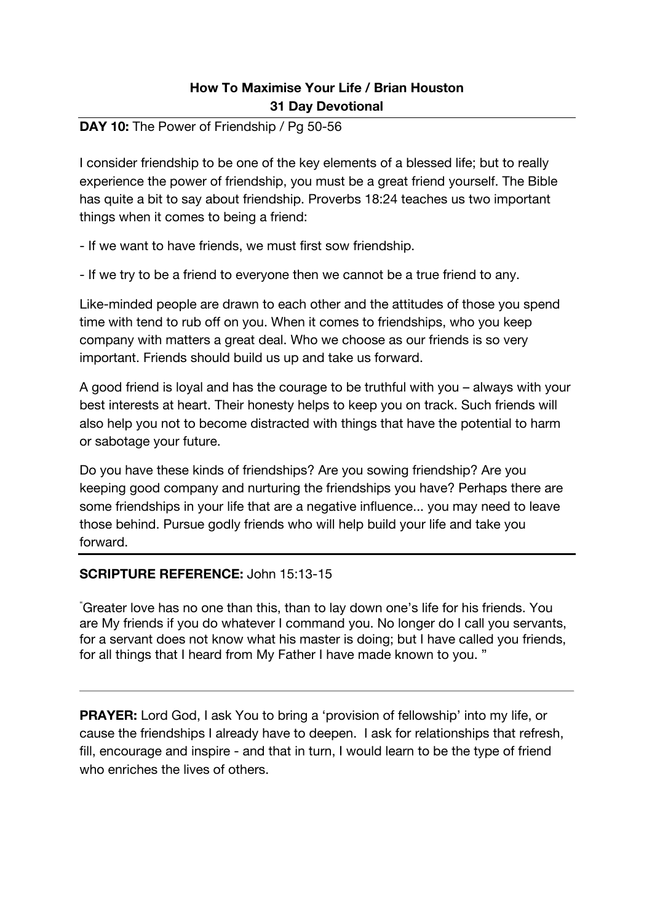### **DAY 10:** The Power of Friendship / Pg 50-56

I consider friendship to be one of the key elements of a blessed life; but to really experience the power of friendship, you must be a great friend yourself. The Bible has quite a bit to say about friendship. Proverbs 18:24 teaches us two important things when it comes to being a friend:

- If we want to have friends, we must first sow friendship.

- If we try to be a friend to everyone then we cannot be a true friend to any.

Like-minded people are drawn to each other and the attitudes of those you spend time with tend to rub off on you. When it comes to friendships, who you keep company with matters a great deal. Who we choose as our friends is so very important. Friends should build us up and take us forward.

A good friend is loyal and has the courage to be truthful with you – always with your best interests at heart. Their honesty helps to keep you on track. Such friends will also help you not to become distracted with things that have the potential to harm or sabotage your future.

Do you have these kinds of friendships? Are you sowing friendship? Are you keeping good company and nurturing the friendships you have? Perhaps there are some friendships in your life that are a negative influence... you may need to leave those behind. Pursue godly friends who will help build your life and take you forward.

#### **SCRIPTURE REFERENCE:** John 15:13-15

" Greater love has no one than this, than to lay down one's life for his friends. You are My friends if you do whatever I command you. No longer do I call you servants, for a servant does not know what his master is doing; but I have called you friends, for all things that I heard from My Father I have made known to you. "

**PRAYER:** Lord God, I ask You to bring a 'provision of fellowship' into my life, or cause the friendships I already have to deepen. I ask for relationships that refresh, fill, encourage and inspire - and that in turn, I would learn to be the type of friend who enriches the lives of others.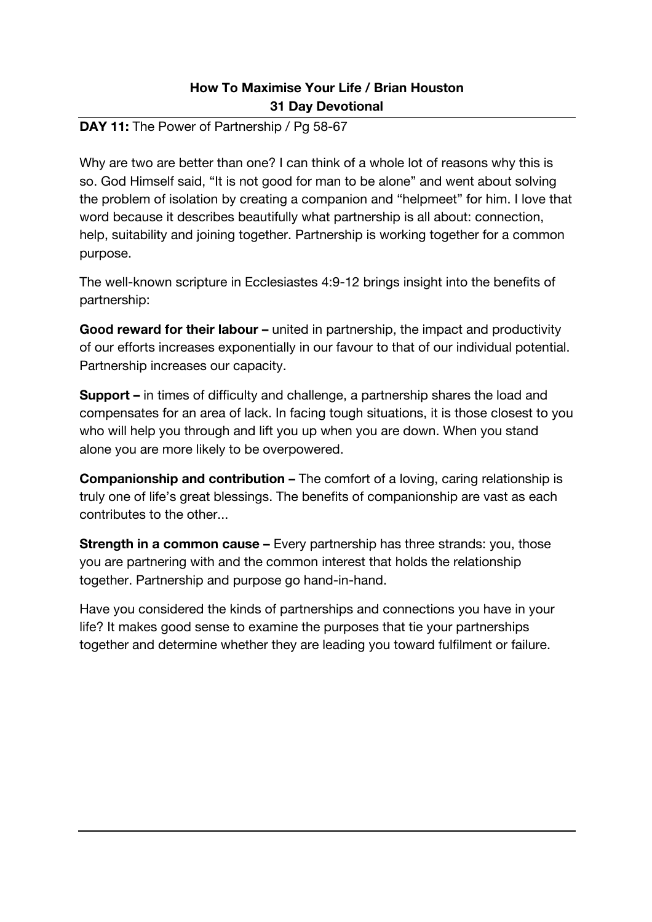### **DAY 11:** The Power of Partnership / Pg 58-67

Why are two are better than one? I can think of a whole lot of reasons why this is so. God Himself said, "It is not good for man to be alone" and went about solving the problem of isolation by creating a companion and "helpmeet" for him. I love that word because it describes beautifully what partnership is all about: connection, help, suitability and joining together. Partnership is working together for a common purpose.

The well-known scripture in Ecclesiastes 4:9-12 brings insight into the benefits of partnership:

**Good reward for their labour –** united in partnership, the impact and productivity of our efforts increases exponentially in our favour to that of our individual potential. Partnership increases our capacity.

**Support –** in times of difficulty and challenge, a partnership shares the load and compensates for an area of lack. In facing tough situations, it is those closest to you who will help you through and lift you up when you are down. When you stand alone you are more likely to be overpowered.

**Companionship and contribution –** The comfort of a loving, caring relationship is truly one of life's great blessings. The benefits of companionship are vast as each contributes to the other...

**Strength in a common cause –** Every partnership has three strands: you, those you are partnering with and the common interest that holds the relationship together. Partnership and purpose go hand-in-hand.

Have you considered the kinds of partnerships and connections you have in your life? It makes good sense to examine the purposes that tie your partnerships together and determine whether they are leading you toward fulfilment or failure.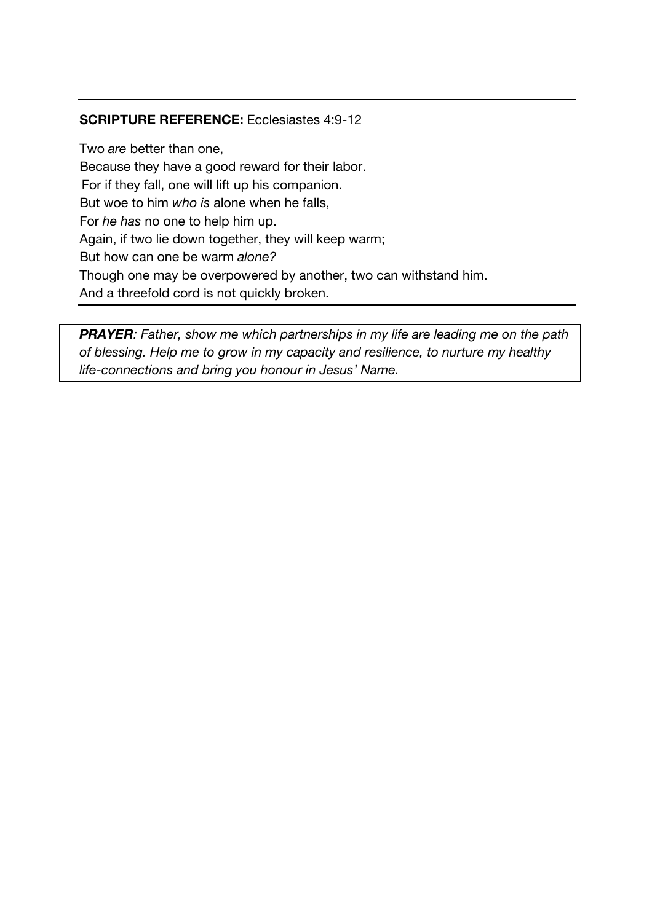### **SCRIPTURE REFERENCE:** Ecclesiastes 4:9-12

Two *are* better than one, Because they have a good reward for their labor. For if they fall, one will lift up his companion. But woe to him *who is* alone when he falls, For *he has* no one to help him up. Again, if two lie down together, they will keep warm; But how can one be warm *alone?* Though one may be overpowered by another, two can withstand him. And a threefold cord is not quickly broken.

*PRAYER: Father, show me which partnerships in my life are leading me on the path of blessing. Help me to grow in my capacity and resilience, to nurture my healthy life-connections and bring you honour in Jesus' Name.*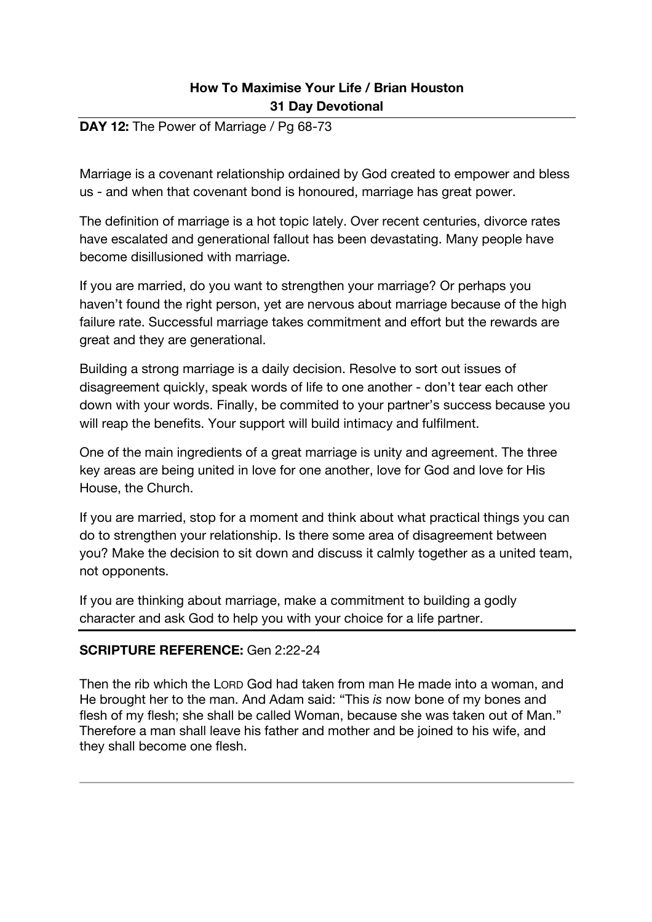#### **DAY 12:** The Power of Marriage / Pg 68-73

Marriage is a covenant relationship ordained by God created to empower and bless us - and when that covenant bond is honoured, marriage has great power.

The definition of marriage is a hot topic lately. Over recent centuries, divorce rates have escalated and generational fallout has been devastating. Many people have become disillusioned with marriage.

If you are married, do you want to strengthen your marriage? Or perhaps you haven't found the right person, yet are nervous about marriage because of the high failure rate. Successful marriage takes commitment and effort but the rewards are great and they are generational.

Building a strong marriage is a daily decision. Resolve to sort out issues of disagreement quickly, speak words of life to one another - don't tear each other down with your words. Finally, be commited to your partner's success because you will reap the benefits. Your support will build intimacy and fulfilment.

One of the main ingredients of a great marriage is unity and agreement. The three key areas are being united in love for one another, love for God and love for His House, the Church.

If you are married, stop for a moment and think about what practical things you can do to strengthen your relationship. Is there some area of disagreement between you? Make the decision to sit down and discuss it calmly together as a united team, not opponents.

If you are thinking about marriage, make a commitment to building a godly character and ask God to help you with your choice for a life partner.

#### **SCRIPTURE REFERENCE:** Gen 2:22-24

Then the rib which the LORD God had taken from man He made into a woman, and He brought her to the man. And Adam said: "This *is* now bone of my bones and flesh of my flesh; she shall be called Woman, because she was taken out of Man." Therefore a man shall leave his father and mother and be joined to his wife, and they shall become one flesh.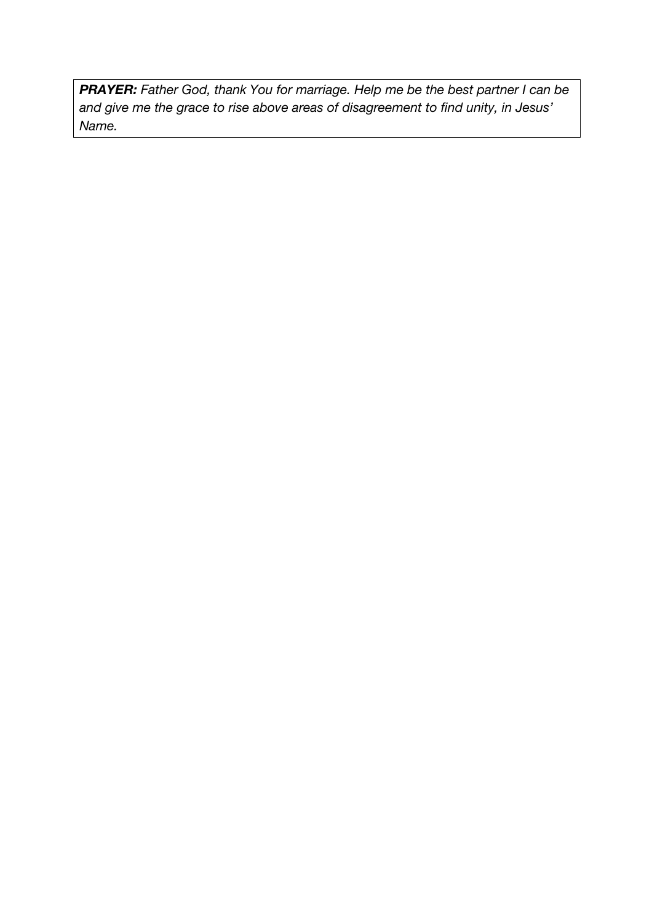*PRAYER: Father God, thank You for marriage. Help me be the best partner I can be and give me the grace to rise above areas of disagreement to find unity, in Jesus' Name.*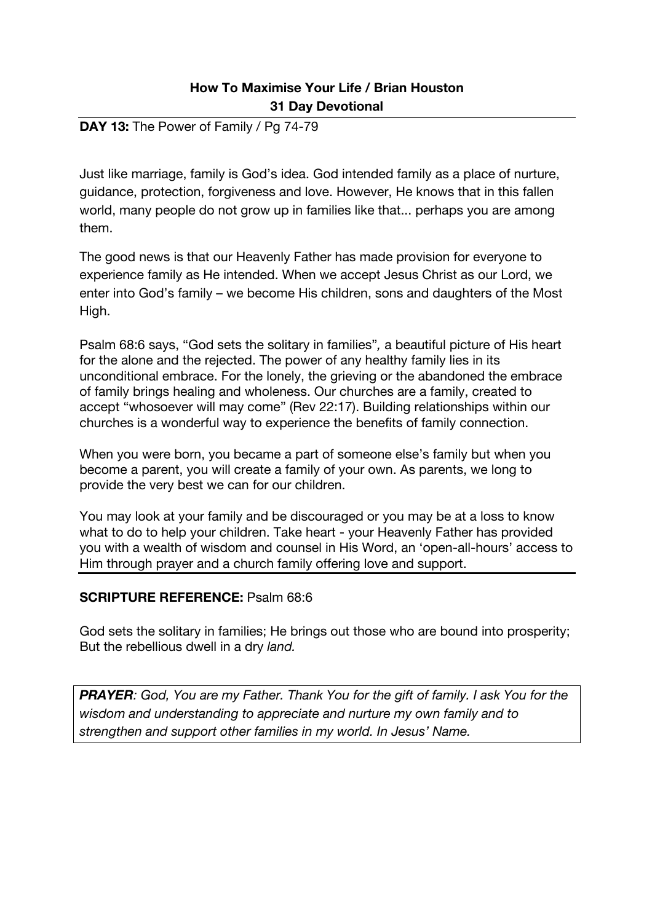#### **DAY 13:** The Power of Family / Pg 74-79

Just like marriage, family is God's idea. God intended family as a place of nurture, guidance, protection, forgiveness and love. However, He knows that in this fallen world, many people do not grow up in families like that... perhaps you are among them.

The good news is that our Heavenly Father has made provision for everyone to experience family as He intended. When we accept Jesus Christ as our Lord, we enter into God's family – we become His children, sons and daughters of the Most High.

Psalm 68:6 says, "God sets the solitary in families"*,* a beautiful picture of His heart for the alone and the rejected. The power of any healthy family lies in its unconditional embrace. For the lonely, the grieving or the abandoned the embrace of family brings healing and wholeness. Our churches are a family, created to accept "whosoever will may come" (Rev 22:17). Building relationships within our churches is a wonderful way to experience the benefits of family connection.

When you were born, you became a part of someone else's family but when you become a parent, you will create a family of your own. As parents, we long to provide the very best we can for our children.

You may look at your family and be discouraged or you may be at a loss to know what to do to help your children. Take heart - your Heavenly Father has provided you with a wealth of wisdom and counsel in His Word, an 'open-all-hours' access to Him through prayer and a church family offering love and support.

#### **SCRIPTURE REFERENCE:** Psalm 68:6

God sets the solitary in families; He brings out those who are bound into prosperity; But the rebellious dwell in a dry *land.*

*PRAYER: God, You are my Father. Thank You for the gift of family. I ask You for the wisdom and understanding to appreciate and nurture my own family and to strengthen and support other families in my world. In Jesus' Name.*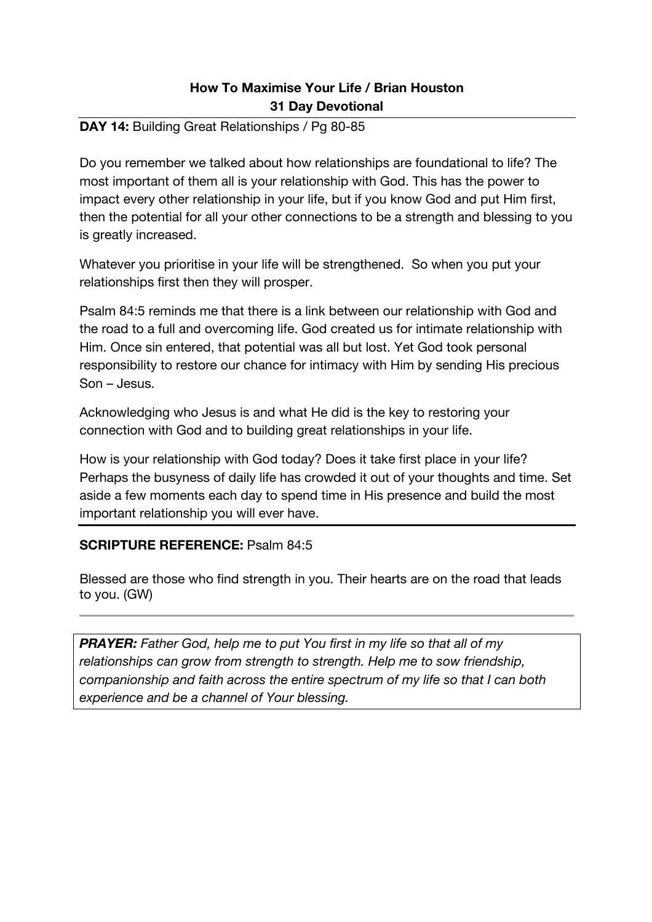### **DAY 14:** Building Great Relationships / Pg 80-85

Do you remember we talked about how relationships are foundational to life? The most important of them all is your relationship with God. This has the power to impact every other relationship in your life, but if you know God and put Him first, then the potential for all your other connections to be a strength and blessing to you is greatly increased.

Whatever you prioritise in your life will be strengthened. So when you put your relationships first then they will prosper.

Psalm 84:5 reminds me that there is a link between our relationship with God and the road to a full and overcoming life. God created us for intimate relationship with Him. Once sin entered, that potential was all but lost. Yet God took personal responsibility to restore our chance for intimacy with Him by sending His precious Son – Jesus.

Acknowledging who Jesus is and what He did is the key to restoring your connection with God and to building great relationships in your life.

How is your relationship with God today? Does it take first place in your life? Perhaps the busyness of daily life has crowded it out of your thoughts and time. Set aside a few moments each day to spend time in His presence and build the most important relationship you will ever have.

### **SCRIPTURE REFERENCE:** Psalm 84:5

Blessed are those who find strength in you. Their hearts are on the road that leads to you. (GW)

*PRAYER: Father God, help me to put You first in my life so that all of my relationships can grow from strength to strength. Help me to sow friendship, companionship and faith across the entire spectrum of my life so that I can both experience and be a channel of Your blessing.*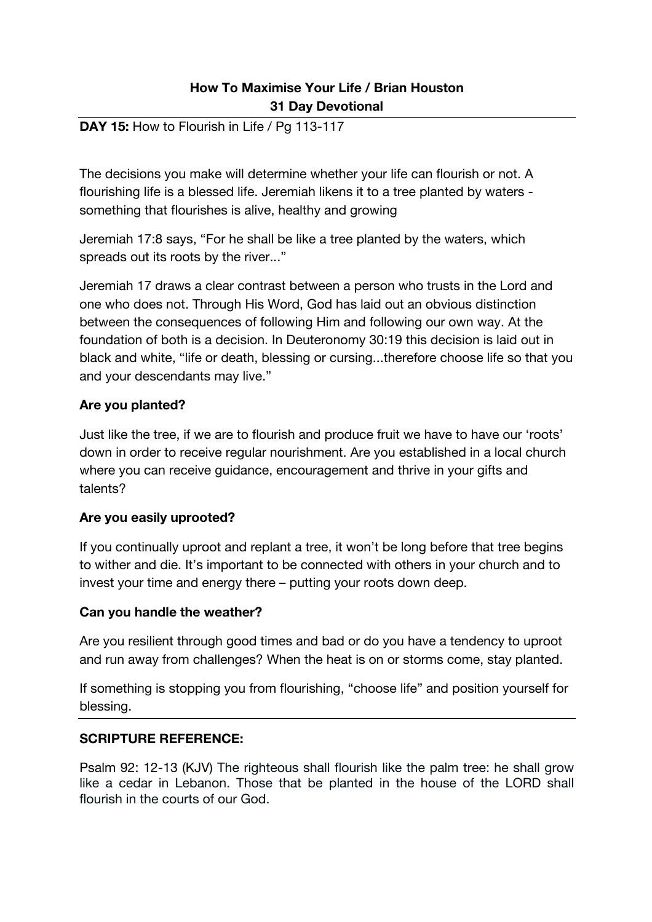### **DAY 15:** How to Flourish in Life / Pg 113-117

The decisions you make will determine whether your life can flourish or not. A flourishing life is a blessed life. Jeremiah likens it to a tree planted by waters something that flourishes is alive, healthy and growing

Jeremiah 17:8 says, "For he shall be like a tree planted by the waters, which spreads out its roots by the river..."

Jeremiah 17 draws a clear contrast between a person who trusts in the Lord and one who does not. Through His Word, God has laid out an obvious distinction between the consequences of following Him and following our own way. At the foundation of both is a decision. In Deuteronomy 30:19 this decision is laid out in black and white, "life or death, blessing or cursing...therefore choose life so that you and your descendants may live."

### **Are you planted?**

Just like the tree, if we are to flourish and produce fruit we have to have our 'roots' down in order to receive regular nourishment. Are you established in a local church where you can receive guidance, encouragement and thrive in your gifts and talents?

### **Are you easily uprooted?**

If you continually uproot and replant a tree, it won't be long before that tree begins to wither and die. It's important to be connected with others in your church and to invest your time and energy there – putting your roots down deep.

### **Can you handle the weather?**

Are you resilient through good times and bad or do you have a tendency to uproot and run away from challenges? When the heat is on or storms come, stay planted.

If something is stopping you from flourishing, "choose life" and position yourself for blessing.

#### **SCRIPTURE REFERENCE:**

Psalm 92: 12-13 (KJV) The righteous shall flourish like the palm tree: he shall grow like a cedar in Lebanon. Those that be planted in the house of the LORD shall flourish in the courts of our God.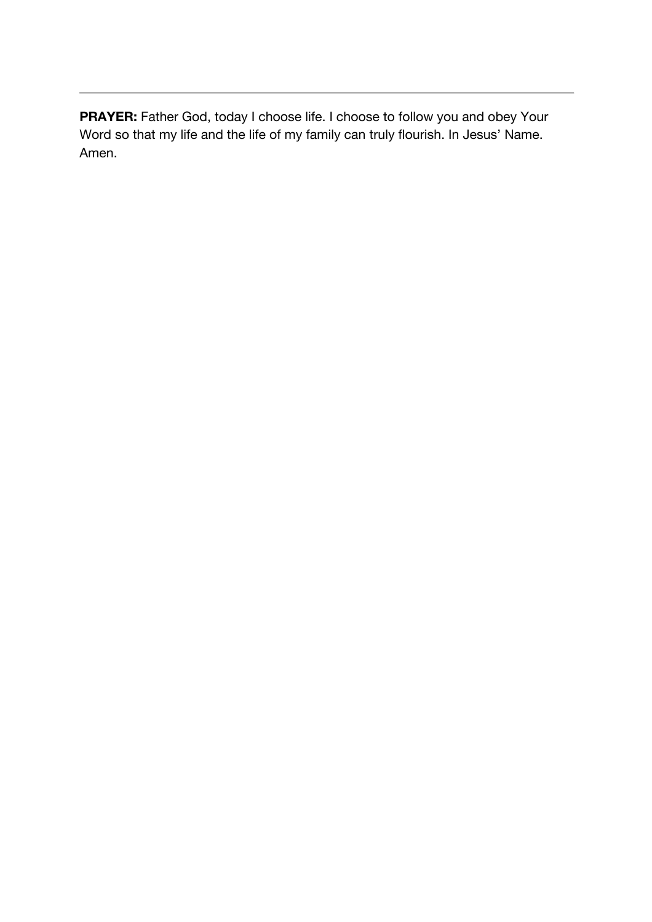**PRAYER:** Father God, today I choose life. I choose to follow you and obey Your Word so that my life and the life of my family can truly flourish. In Jesus' Name. Amen.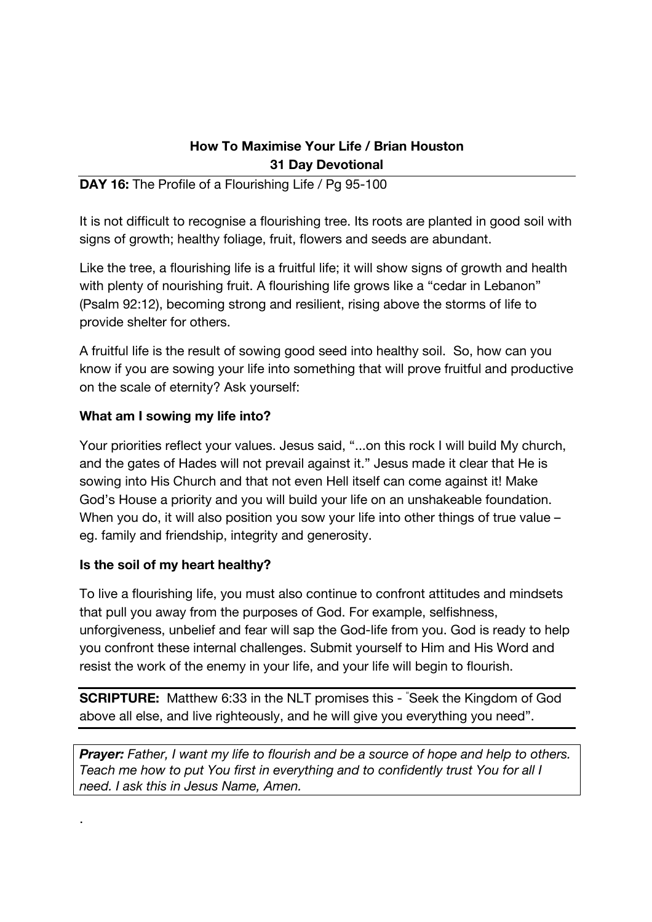## **DAY 16:** The Profile of a Flourishing Life / Pg 95-100

It is not difficult to recognise a flourishing tree. Its roots are planted in good soil with signs of growth; healthy foliage, fruit, flowers and seeds are abundant.

Like the tree, a flourishing life is a fruitful life; it will show signs of growth and health with plenty of nourishing fruit. A flourishing life grows like a "cedar in Lebanon" (Psalm 92:12), becoming strong and resilient, rising above the storms of life to provide shelter for others.

A fruitful life is the result of sowing good seed into healthy soil. So, how can you know if you are sowing your life into something that will prove fruitful and productive on the scale of eternity? Ask yourself:

## **What am I sowing my life into?**

Your priorities reflect your values. Jesus said, "...on this rock I will build My church, and the gates of Hades will not prevail against it." Jesus made it clear that He is sowing into His Church and that not even Hell itself can come against it! Make God's House a priority and you will build your life on an unshakeable foundation. When you do, it will also position you sow your life into other things of true value – eg. family and friendship, integrity and generosity.

### **Is the soil of my heart healthy?**

.

To live a flourishing life, you must also continue to confront attitudes and mindsets that pull you away from the purposes of God. For example, selfishness, unforgiveness, unbelief and fear will sap the God-life from you. God is ready to help you confront these internal challenges. Submit yourself to Him and His Word and resist the work of the enemy in your life, and your life will begin to flourish.

**SCRIPTURE:** Matthew 6:33 in the NLT promises this - " Seek the Kingdom of God above all else, and live righteously, and he will give you everything you need".

**Prayer:** Father, I want my life to flourish and be a source of hope and help to others. *Teach me how to put You first in everything and to confidently trust You for all I need. I ask this in Jesus Name, Amen.*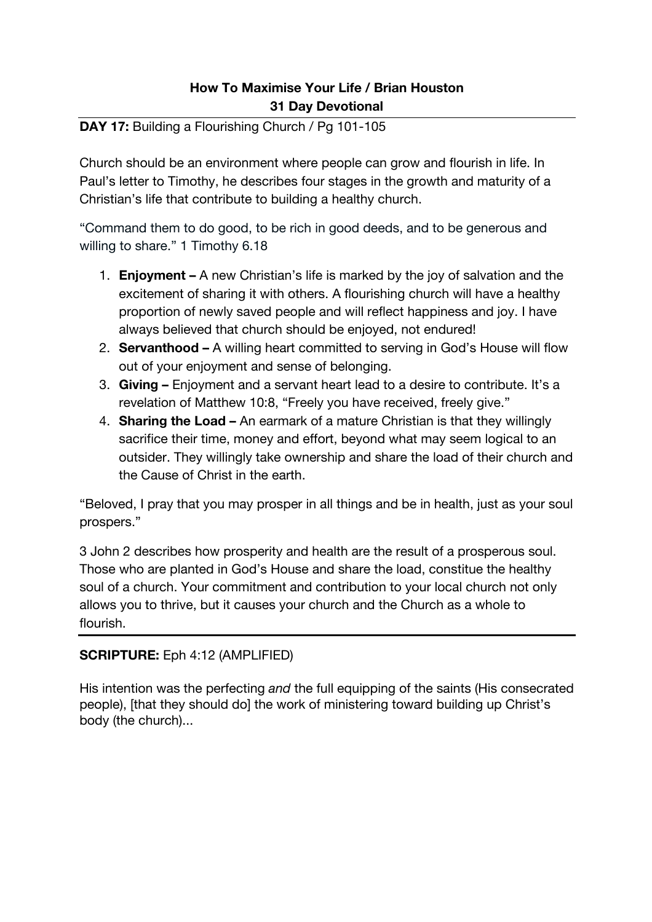# **DAY 17:** Building a Flourishing Church / Pg 101-105

Church should be an environment where people can grow and flourish in life. In Paul's letter to Timothy, he describes four stages in the growth and maturity of a Christian's life that contribute to building a healthy church.

"Command them to do good, to be rich in good deeds, and to be generous and willing to share." 1 Timothy 6.18

- 1. **Enjoyment –** A new Christian's life is marked by the joy of salvation and the excitement of sharing it with others. A flourishing church will have a healthy proportion of newly saved people and will reflect happiness and joy. I have always believed that church should be enjoyed, not endured!
- 2. **Servanthood –** A willing heart committed to serving in God's House will flow out of your enjoyment and sense of belonging.
- 3. **Giving –** Enjoyment and a servant heart lead to a desire to contribute. It's a revelation of Matthew 10:8, "Freely you have received, freely give."
- 4. **Sharing the Load –** An earmark of a mature Christian is that they willingly sacrifice their time, money and effort, beyond what may seem logical to an outsider. They willingly take ownership and share the load of their church and the Cause of Christ in the earth.

"Beloved, I pray that you may prosper in all things and be in health, just as your soul prospers."

3 John 2 describes how prosperity and health are the result of a prosperous soul. Those who are planted in God's House and share the load, constitue the healthy soul of a church. Your commitment and contribution to your local church not only allows you to thrive, but it causes your church and the Church as a whole to flourish.

# **SCRIPTURE:** Eph 4:12 (AMPLIFIED)

His intention was the perfecting *and* the full equipping of the saints (His consecrated people), [that they should do] the work of ministering toward building up Christ's body (the church)...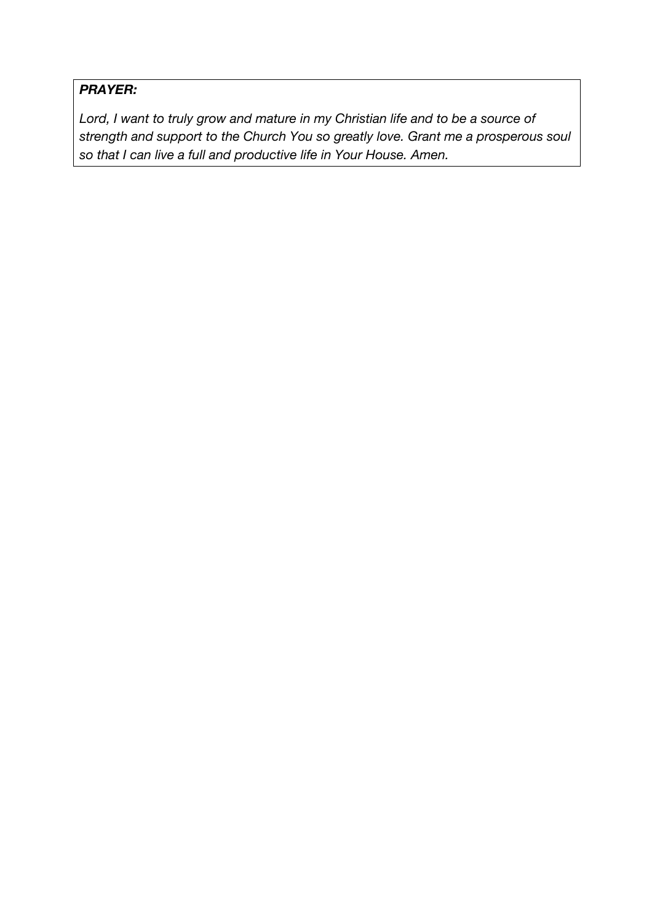# *PRAYER:*

*Lord, I want to truly grow and mature in my Christian life and to be a source of strength and support to the Church You so greatly love. Grant me a prosperous soul so that I can live a full and productive life in Your House. Amen.*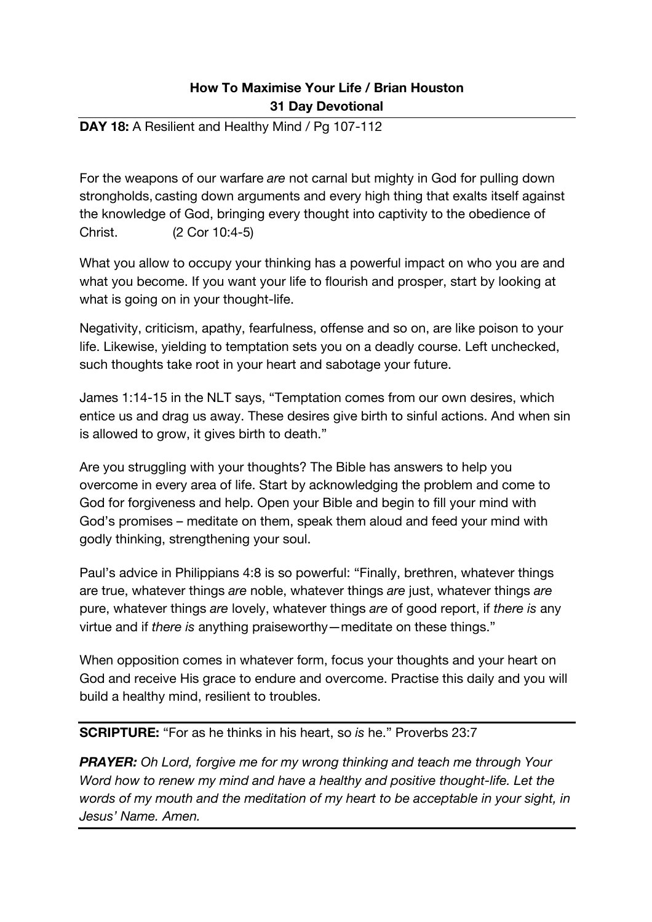### **DAY 18:** A Resilient and Healthy Mind / Pg 107-112

For the weapons of our warfare *are* not carnal but mighty in God for pulling down strongholds, casting down arguments and every high thing that exalts itself against the knowledge of God, bringing every thought into captivity to the obedience of Christ. (2 Cor 10:4-5)

What you allow to occupy your thinking has a powerful impact on who you are and what you become. If you want your life to flourish and prosper, start by looking at what is going on in your thought-life.

Negativity, criticism, apathy, fearfulness, offense and so on, are like poison to your life. Likewise, yielding to temptation sets you on a deadly course. Left unchecked, such thoughts take root in your heart and sabotage your future.

James 1:14-15 in the NLT says, "Temptation comes from our own desires, which entice us and drag us away. These desires give birth to sinful actions. And when sin is allowed to grow, it gives birth to death."

Are you struggling with your thoughts? The Bible has answers to help you overcome in every area of life. Start by acknowledging the problem and come to God for forgiveness and help. Open your Bible and begin to fill your mind with God's promises – meditate on them, speak them aloud and feed your mind with godly thinking, strengthening your soul.

Paul's advice in Philippians 4:8 is so powerful: "Finally, brethren, whatever things are true, whatever things *are* noble, whatever things *are* just, whatever things *are* pure, whatever things *are* lovely, whatever things *are* of good report, if *there is* any virtue and if *there is* anything praiseworthy—meditate on these things."

When opposition comes in whatever form, focus your thoughts and your heart on God and receive His grace to endure and overcome. Practise this daily and you will build a healthy mind, resilient to troubles.

**SCRIPTURE:** "For as he thinks in his heart, so *is* he." Proverbs 23:7

*PRAYER: Oh Lord, forgive me for my wrong thinking and teach me through Your Word how to renew my mind and have a healthy and positive thought-life. Let the words of my mouth and the meditation of my heart to be acceptable in your sight, in Jesus' Name. Amen.*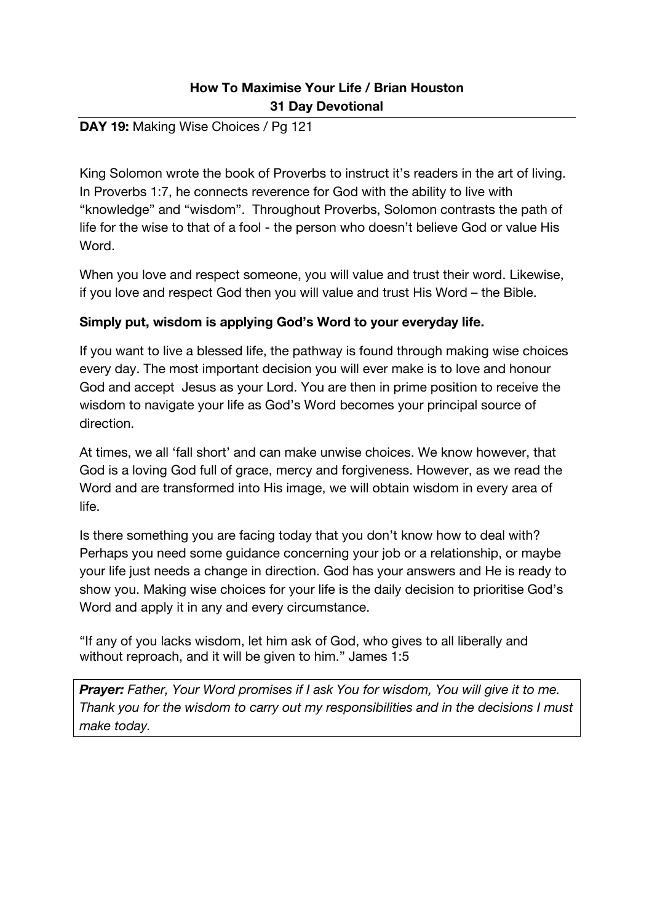### **DAY 19:** Making Wise Choices / Pg 121

King Solomon wrote the book of Proverbs to instruct it's readers in the art of living. In Proverbs 1:7, he connects reverence for God with the ability to live with "knowledge" and "wisdom". Throughout Proverbs, Solomon contrasts the path of life for the wise to that of a fool - the person who doesn't believe God or value His Word.

When you love and respect someone, you will value and trust their word. Likewise, if you love and respect God then you will value and trust His Word – the Bible.

### **Simply put, wisdom is applying God's Word to your everyday life.**

If you want to live a blessed life, the pathway is found through making wise choices every day. The most important decision you will ever make is to love and honour God and accept Jesus as your Lord. You are then in prime position to receive the wisdom to navigate your life as God's Word becomes your principal source of direction.

At times, we all 'fall short' and can make unwise choices. We know however, that God is a loving God full of grace, mercy and forgiveness. However, as we read the Word and are transformed into His image, we will obtain wisdom in every area of life.

Is there something you are facing today that you don't know how to deal with? Perhaps you need some guidance concerning your job or a relationship, or maybe your life just needs a change in direction. God has your answers and He is ready to show you. Making wise choices for your life is the daily decision to prioritise God's Word and apply it in any and every circumstance.

"If any of you lacks wisdom, let him ask of God, who gives to all liberally and without reproach, and it will be given to him." James 1:5

**Prayer:** Father, Your Word promises if I ask You for wisdom, You will give it to me. *Thank you for the wisdom to carry out my responsibilities and in the decisions I must make today.*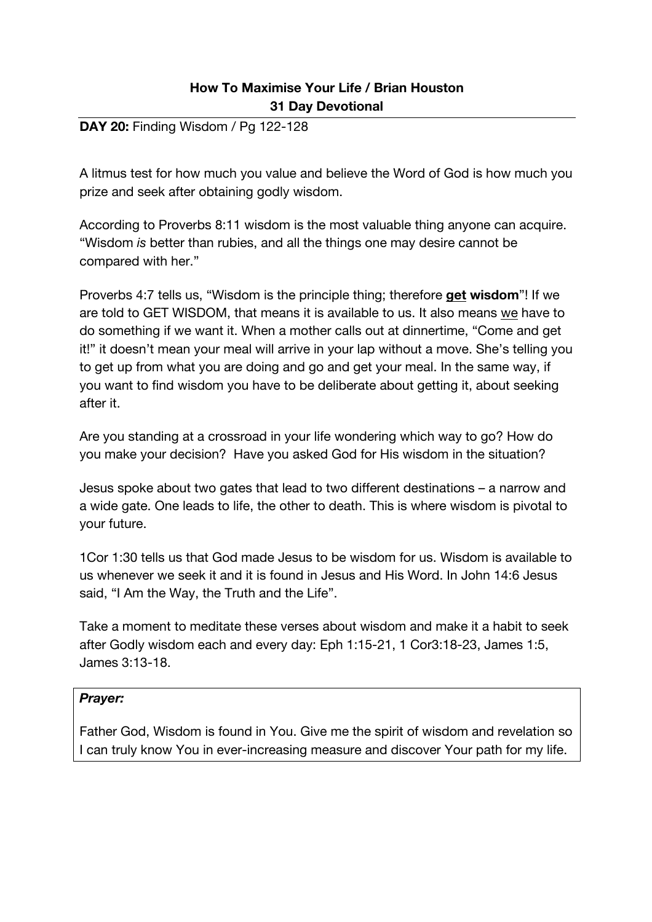### **DAY 20:** Finding Wisdom / Pg 122-128

A litmus test for how much you value and believe the Word of God is how much you prize and seek after obtaining godly wisdom.

According to Proverbs 8:11 wisdom is the most valuable thing anyone can acquire. "Wisdom *is* better than rubies, and all the things one may desire cannot be compared with her."

Proverbs 4:7 tells us, "Wisdom is the principle thing; therefore **get wisdom**"! If we are told to GET WISDOM, that means it is available to us. It also means we have to do something if we want it. When a mother calls out at dinnertime, "Come and get it!" it doesn't mean your meal will arrive in your lap without a move. She's telling you to get up from what you are doing and go and get your meal. In the same way, if you want to find wisdom you have to be deliberate about getting it, about seeking after it.

Are you standing at a crossroad in your life wondering which way to go? How do you make your decision? Have you asked God for His wisdom in the situation?

Jesus spoke about two gates that lead to two different destinations – a narrow and a wide gate. One leads to life, the other to death. This is where wisdom is pivotal to your future.

1Cor 1:30 tells us that God made Jesus to be wisdom for us. Wisdom is available to us whenever we seek it and it is found in Jesus and His Word. In John 14:6 Jesus said, "I Am the Way, the Truth and the Life".

Take a moment to meditate these verses about wisdom and make it a habit to seek after Godly wisdom each and every day: Eph 1:15-21, 1 Cor3:18-23, James 1:5, James 3:13-18.

#### *Prayer:*

Father God, Wisdom is found in You. Give me the spirit of wisdom and revelation so I can truly know You in ever-increasing measure and discover Your path for my life.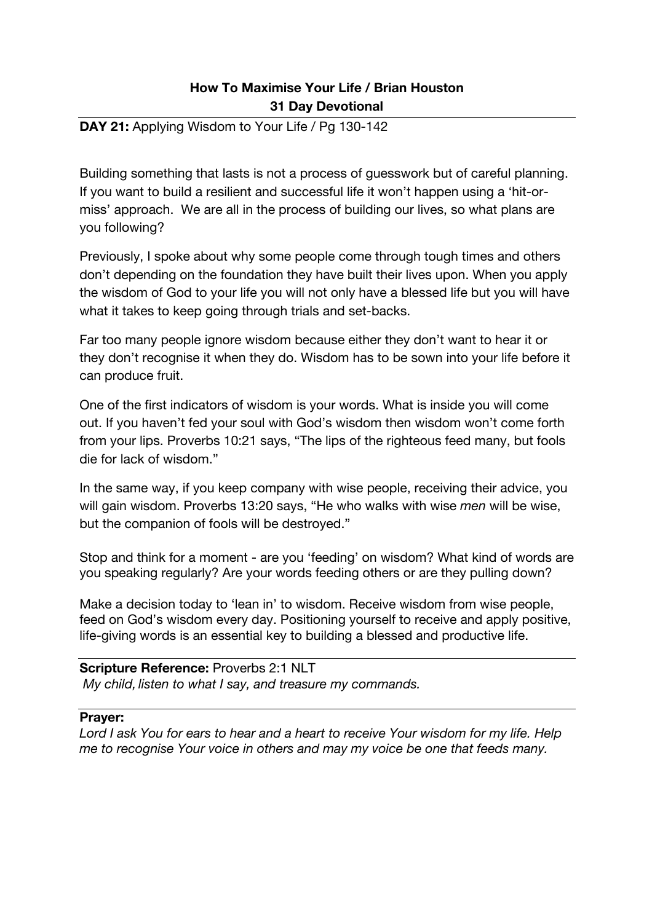### **DAY 21: Applying Wisdom to Your Life / Pg 130-142**

Building something that lasts is not a process of guesswork but of careful planning. If you want to build a resilient and successful life it won't happen using a 'hit-ormiss' approach. We are all in the process of building our lives, so what plans are you following?

Previously, I spoke about why some people come through tough times and others don't depending on the foundation they have built their lives upon. When you apply the wisdom of God to your life you will not only have a blessed life but you will have what it takes to keep going through trials and set-backs.

Far too many people ignore wisdom because either they don't want to hear it or they don't recognise it when they do. Wisdom has to be sown into your life before it can produce fruit.

One of the first indicators of wisdom is your words. What is inside you will come out. If you haven't fed your soul with God's wisdom then wisdom won't come forth from your lips. Proverbs 10:21 says, "The lips of the righteous feed many, but fools die for lack of wisdom."

In the same way, if you keep company with wise people, receiving their advice, you will gain wisdom. Proverbs 13:20 says, "He who walks with wise *men* will be wise, but the companion of fools will be destroyed."

Stop and think for a moment - are you 'feeding' on wisdom? What kind of words are you speaking regularly? Are your words feeding others or are they pulling down?

Make a decision today to 'lean in' to wisdom. Receive wisdom from wise people, feed on God's wisdom every day. Positioning yourself to receive and apply positive, life-giving words is an essential key to building a blessed and productive life.

**Scripture Reference:** Proverbs 2:1 NLT *My child, listen to what I say, and treasure my commands.*

#### **Prayer:**

*Lord I ask You for ears to hear and a heart to receive Your wisdom for my life. Help me to recognise Your voice in others and may my voice be one that feeds many.*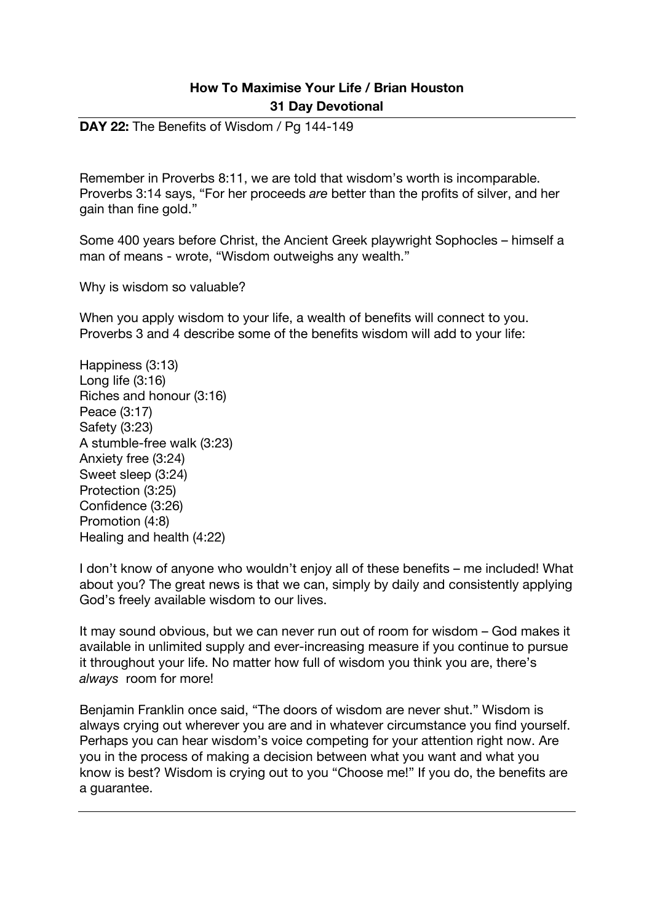**DAY 22:** The Benefits of Wisdom / Pg 144-149

Remember in Proverbs 8:11, we are told that wisdom's worth is incomparable. Proverbs 3:14 says, "For her proceeds *are* better than the profits of silver, and her gain than fine gold."

Some 400 years before Christ, the Ancient Greek playwright Sophocles – himself a man of means - wrote, "Wisdom outweighs any wealth."

Why is wisdom so valuable?

When you apply wisdom to your life, a wealth of benefits will connect to you. Proverbs 3 and 4 describe some of the benefits wisdom will add to your life:

Happiness (3:13) Long life (3:16) Riches and honour (3:16) Peace (3:17) Safety (3:23) A stumble-free walk (3:23) Anxiety free (3:24) Sweet sleep (3:24) Protection (3:25) Confidence (3:26) Promotion (4:8) Healing and health (4:22)

I don't know of anyone who wouldn't enjoy all of these benefits – me included! What about you? The great news is that we can, simply by daily and consistently applying God's freely available wisdom to our lives.

It may sound obvious, but we can never run out of room for wisdom – God makes it available in unlimited supply and ever-increasing measure if you continue to pursue it throughout your life. No matter how full of wisdom you think you are, there's *always* room for more!

Benjamin Franklin once said, "The doors of wisdom are never shut." Wisdom is always crying out wherever you are and in whatever circumstance you find yourself. Perhaps you can hear wisdom's voice competing for your attention right now. Are you in the process of making a decision between what you want and what you know is best? Wisdom is crying out to you "Choose me!" If you do, the benefits are a guarantee.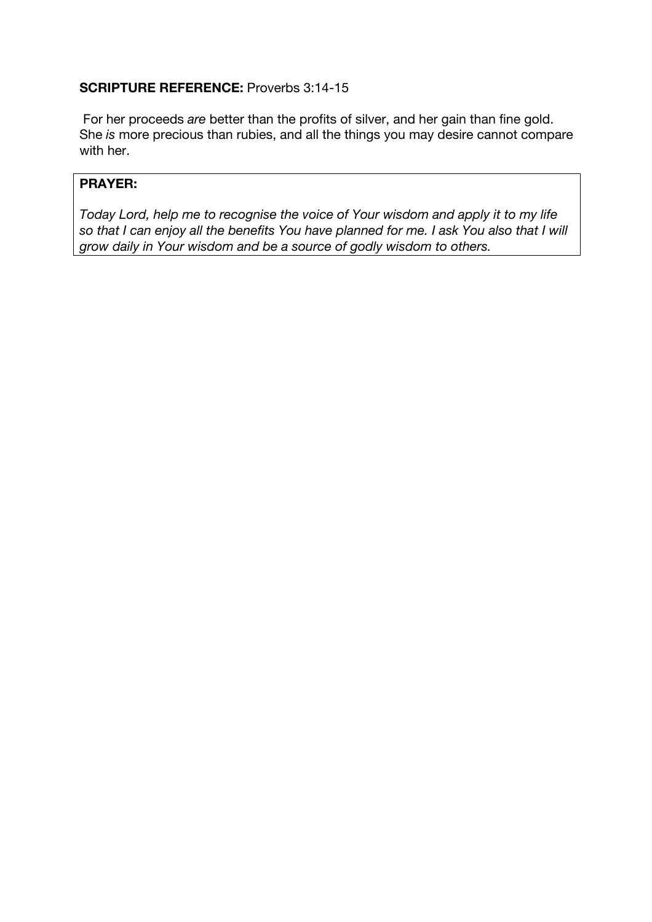## **SCRIPTURE REFERENCE:** Proverbs 3:14-15

For her proceeds *are* better than the profits of silver, and her gain than fine gold. She *is* more precious than rubies, and all the things you may desire cannot compare with her.

## **PRAYER:**

*Today Lord, help me to recognise the voice of Your wisdom and apply it to my life so that I can enjoy all the benefits You have planned for me. I ask You also that I will grow daily in Your wisdom and be a source of godly wisdom to others.*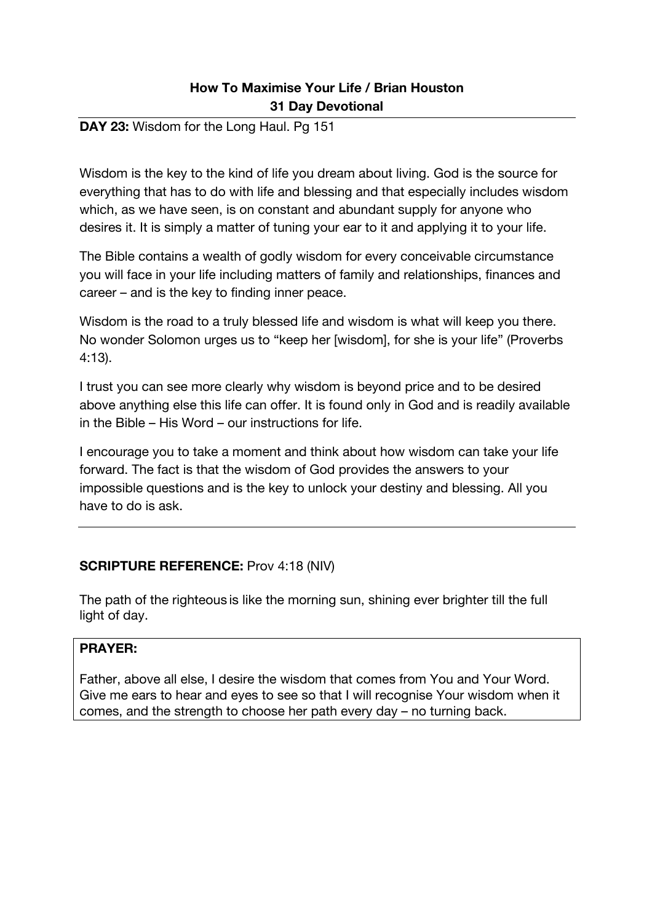#### **DAY 23:** Wisdom for the Long Haul. Pg 151

Wisdom is the key to the kind of life you dream about living. God is the source for everything that has to do with life and blessing and that especially includes wisdom which, as we have seen, is on constant and abundant supply for anyone who desires it. It is simply a matter of tuning your ear to it and applying it to your life.

The Bible contains a wealth of godly wisdom for every conceivable circumstance you will face in your life including matters of family and relationships, finances and career – and is the key to finding inner peace.

Wisdom is the road to a truly blessed life and wisdom is what will keep you there. No wonder Solomon urges us to "keep her [wisdom], for she is your life" (Proverbs 4:13).

I trust you can see more clearly why wisdom is beyond price and to be desired above anything else this life can offer. It is found only in God and is readily available in the Bible – His Word – our instructions for life.

I encourage you to take a moment and think about how wisdom can take your life forward. The fact is that the wisdom of God provides the answers to your impossible questions and is the key to unlock your destiny and blessing. All you have to do is ask.

#### **SCRIPTURE REFERENCE:** Prov 4:18 (NIV)

The path of the righteous is like the morning sun, shining ever brighter till the full light of day.

#### **PRAYER:**

Father, above all else, I desire the wisdom that comes from You and Your Word. Give me ears to hear and eyes to see so that I will recognise Your wisdom when it comes, and the strength to choose her path every day – no turning back.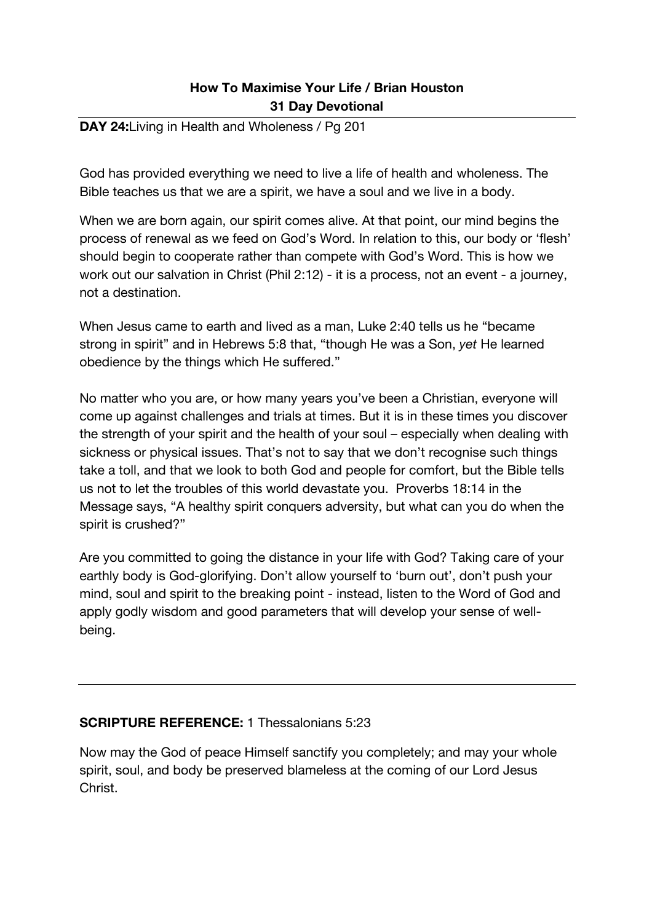#### **DAY 24:**Living in Health and Wholeness / Pg 201

God has provided everything we need to live a life of health and wholeness. The Bible teaches us that we are a spirit, we have a soul and we live in a body.

When we are born again, our spirit comes alive. At that point, our mind begins the process of renewal as we feed on God's Word. In relation to this, our body or 'flesh' should begin to cooperate rather than compete with God's Word. This is how we work out our salvation in Christ (Phil 2:12) - it is a process, not an event - a journey, not a destination.

When Jesus came to earth and lived as a man, Luke 2:40 tells us he "became strong in spirit" and in Hebrews 5:8 that, "though He was a Son, *yet* He learned obedience by the things which He suffered."

No matter who you are, or how many years you've been a Christian, everyone will come up against challenges and trials at times. But it is in these times you discover the strength of your spirit and the health of your soul – especially when dealing with sickness or physical issues. That's not to say that we don't recognise such things take a toll, and that we look to both God and people for comfort, but the Bible tells us not to let the troubles of this world devastate you. Proverbs 18:14 in the Message says, "A healthy spirit conquers adversity, but what can you do when the spirit is crushed?"

Are you committed to going the distance in your life with God? Taking care of your earthly body is God-glorifying. Don't allow yourself to 'burn out', don't push your mind, soul and spirit to the breaking point - instead, listen to the Word of God and apply godly wisdom and good parameters that will develop your sense of wellbeing.

#### **SCRIPTURE REFERENCE:** 1 Thessalonians 5:23

Now may the God of peace Himself sanctify you completely; and may your whole spirit, soul, and body be preserved blameless at the coming of our Lord Jesus Christ.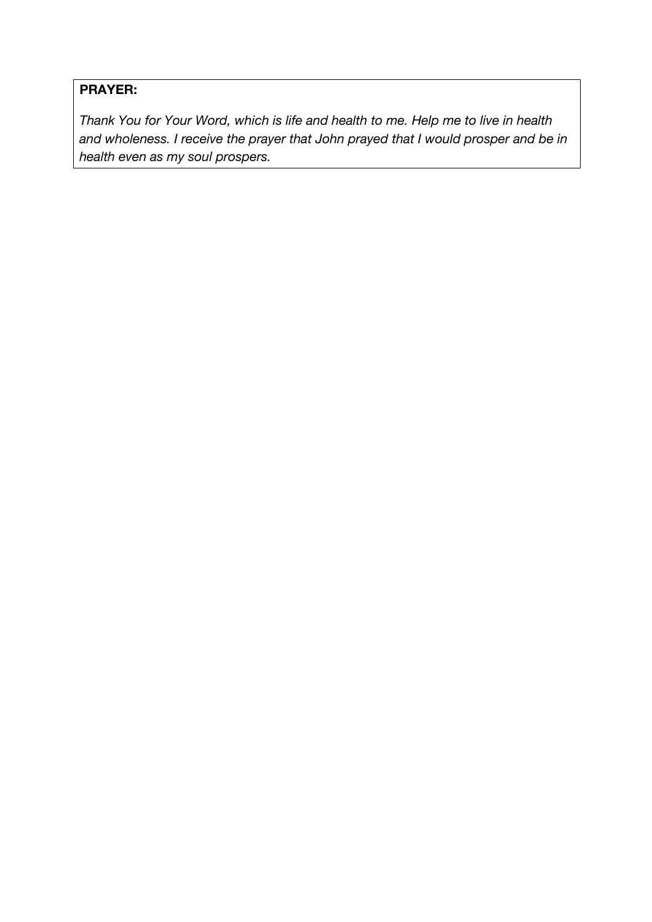# **PRAYER:**

*Thank You for Your Word, which is life and health to me. Help me to live in health and wholeness. I receive the prayer that John prayed that I would prosper and be in health even as my soul prospers.*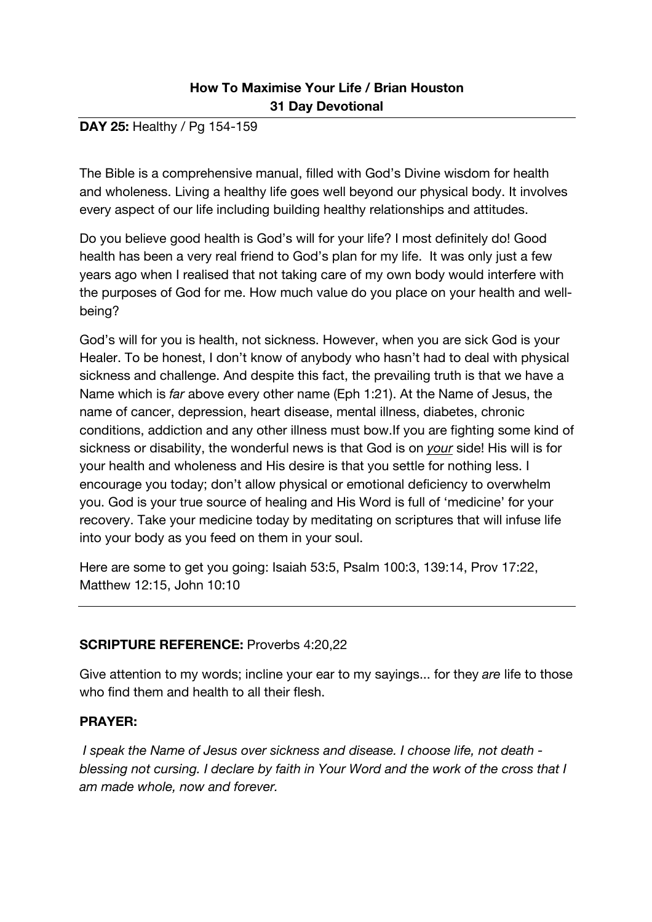### **DAY 25:** Healthy / Pg 154-159

The Bible is a comprehensive manual, filled with God's Divine wisdom for health and wholeness. Living a healthy life goes well beyond our physical body. It involves every aspect of our life including building healthy relationships and attitudes.

Do you believe good health is God's will for your life? I most definitely do! Good health has been a very real friend to God's plan for my life. It was only just a few years ago when I realised that not taking care of my own body would interfere with the purposes of God for me. How much value do you place on your health and wellbeing?

God's will for you is health, not sickness. However, when you are sick God is your Healer. To be honest, I don't know of anybody who hasn't had to deal with physical sickness and challenge. And despite this fact, the prevailing truth is that we have a Name which is *far* above every other name (Eph 1:21). At the Name of Jesus, the name of cancer, depression, heart disease, mental illness, diabetes, chronic conditions, addiction and any other illness must bow.If you are fighting some kind of sickness or disability, the wonderful news is that God is on *your* side! His will is for your health and wholeness and His desire is that you settle for nothing less. I encourage you today; don't allow physical or emotional deficiency to overwhelm you. God is your true source of healing and His Word is full of 'medicine' for your recovery. Take your medicine today by meditating on scriptures that will infuse life into your body as you feed on them in your soul.

Here are some to get you going: Isaiah 53:5, Psalm 100:3, 139:14, Prov 17:22, Matthew 12:15, John 10:10

### **SCRIPTURE REFERENCE:** Proverbs 4:20,22

Give attention to my words; incline your ear to my sayings... for they *are* life to those who find them and health to all their flesh.

#### **PRAYER:**

*I speak the Name of Jesus over sickness and disease. I choose life, not death blessing not cursing. I declare by faith in Your Word and the work of the cross that I am made whole, now and forever.*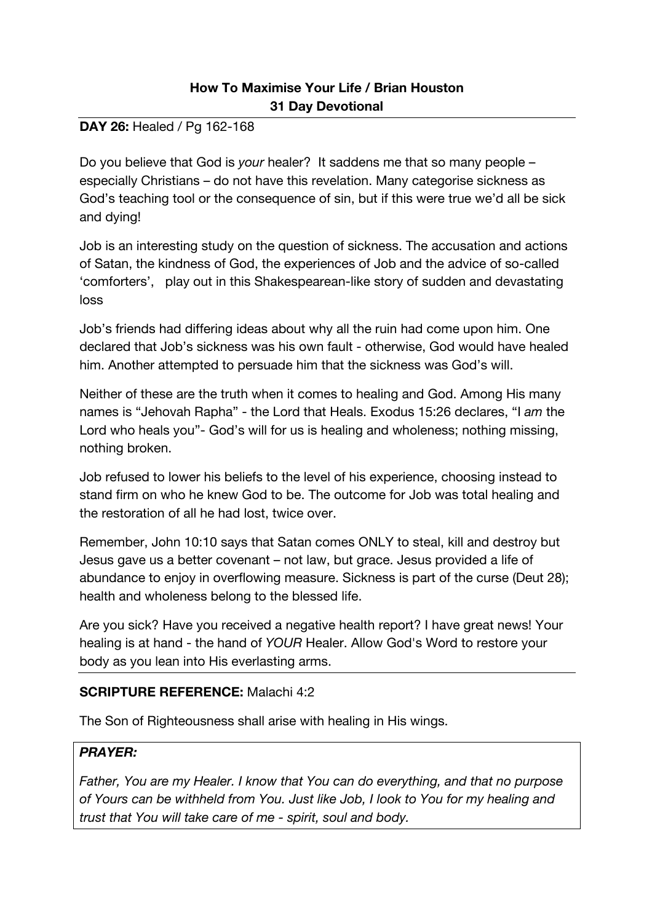#### **DAY 26:** Healed / Pg 162-168

Do you believe that God is *your* healer? It saddens me that so many people – especially Christians – do not have this revelation. Many categorise sickness as God's teaching tool or the consequence of sin, but if this were true we'd all be sick and dying!

Job is an interesting study on the question of sickness. The accusation and actions of Satan, the kindness of God, the experiences of Job and the advice of so-called 'comforters', play out in this Shakespearean-like story of sudden and devastating loss

Job's friends had differing ideas about why all the ruin had come upon him. One declared that Job's sickness was his own fault - otherwise, God would have healed him. Another attempted to persuade him that the sickness was God's will.

Neither of these are the truth when it comes to healing and God. Among His many names is "Jehovah Rapha" - the Lord that Heals. Exodus 15:26 declares, "I *am* the Lord who heals you"- God's will for us is healing and wholeness; nothing missing, nothing broken.

Job refused to lower his beliefs to the level of his experience, choosing instead to stand firm on who he knew God to be. The outcome for Job was total healing and the restoration of all he had lost, twice over.

Remember, John 10:10 says that Satan comes ONLY to steal, kill and destroy but Jesus gave us a better covenant – not law, but grace. Jesus provided a life of abundance to enjoy in overflowing measure. Sickness is part of the curse (Deut 28); health and wholeness belong to the blessed life.

Are you sick? Have you received a negative health report? I have great news! Your healing is at hand - the hand of *YOUR* Healer. Allow God's Word to restore your body as you lean into His everlasting arms.

### **SCRIPTURE REFERENCE:** Malachi 4:2

The Son of Righteousness shall arise with healing in His wings.

### *PRAYER:*

*Father, You are my Healer. I know that You can do everything, and that no purpose of Yours can be withheld from You. Just like Job, I look to You for my healing and trust that You will take care of me - spirit, soul and body.*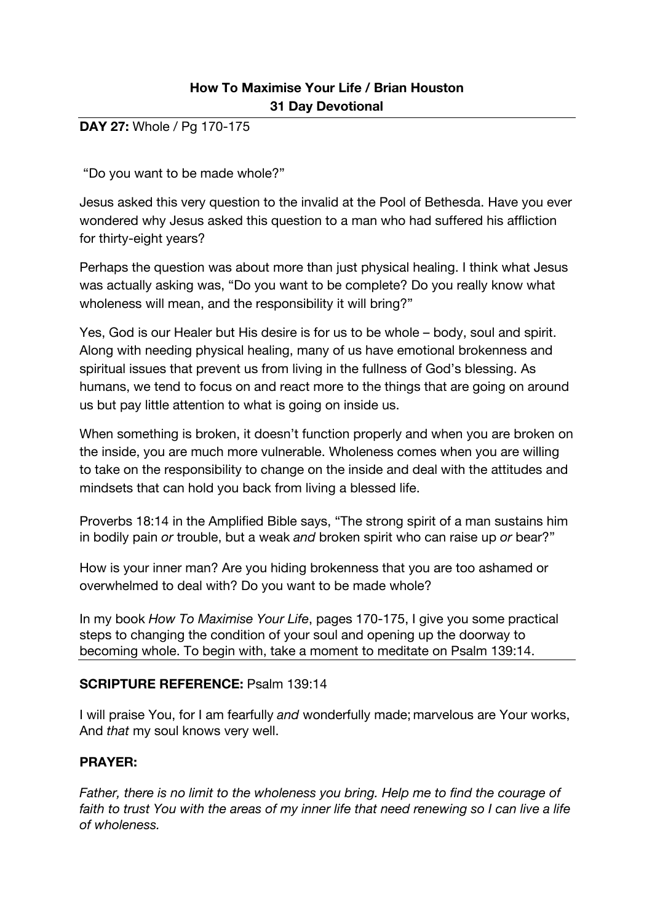**DAY 27:** Whole / Pg 170-175

"Do you want to be made whole?"

Jesus asked this very question to the invalid at the Pool of Bethesda. Have you ever wondered why Jesus asked this question to a man who had suffered his affliction for thirty-eight years?

Perhaps the question was about more than just physical healing. I think what Jesus was actually asking was, "Do you want to be complete? Do you really know what wholeness will mean, and the responsibility it will bring?"

Yes, God is our Healer but His desire is for us to be whole – body, soul and spirit. Along with needing physical healing, many of us have emotional brokenness and spiritual issues that prevent us from living in the fullness of God's blessing. As humans, we tend to focus on and react more to the things that are going on around us but pay little attention to what is going on inside us.

When something is broken, it doesn't function properly and when you are broken on the inside, you are much more vulnerable. Wholeness comes when you are willing to take on the responsibility to change on the inside and deal with the attitudes and mindsets that can hold you back from living a blessed life.

Proverbs 18:14 in the Amplified Bible says, "The strong spirit of a man sustains him in bodily pain *or* trouble, but a weak *and* broken spirit who can raise up *or* bear?"

How is your inner man? Are you hiding brokenness that you are too ashamed or overwhelmed to deal with? Do you want to be made whole?

In my book *How To Maximise Your Life*, pages 170-175, I give you some practical steps to changing the condition of your soul and opening up the doorway to becoming whole. To begin with, take a moment to meditate on Psalm 139:14.

#### **SCRIPTURE REFERENCE:** Psalm 139:14

I will praise You, for I am fearfully *and* wonderfully made; marvelous are Your works, And *that* my soul knows very well.

### **PRAYER:**

*Father, there is no limit to the wholeness you bring. Help me to find the courage of*  faith to trust You with the areas of my inner life that need renewing so I can live a life *of wholeness.*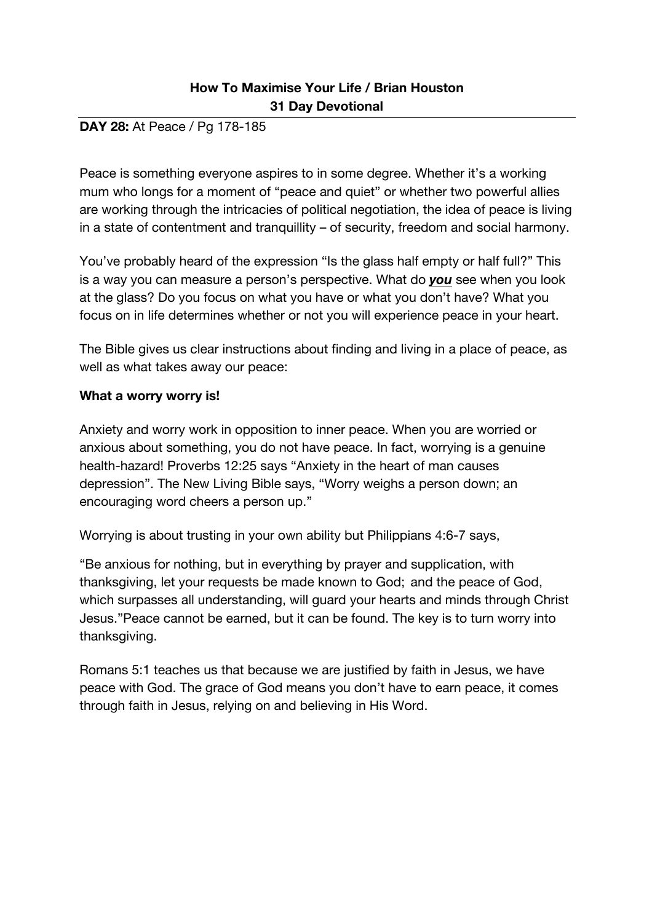### **DAY 28:** At Peace / Pg 178-185

Peace is something everyone aspires to in some degree. Whether it's a working mum who longs for a moment of "peace and quiet" or whether two powerful allies are working through the intricacies of political negotiation, the idea of peace is living in a state of contentment and tranquillity – of security, freedom and social harmony.

You've probably heard of the expression "Is the glass half empty or half full?" This is a way you can measure a person's perspective. What do *you* see when you look at the glass? Do you focus on what you have or what you don't have? What you focus on in life determines whether or not you will experience peace in your heart.

The Bible gives us clear instructions about finding and living in a place of peace, as well as what takes away our peace:

### **What a worry worry is!**

Anxiety and worry work in opposition to inner peace. When you are worried or anxious about something, you do not have peace. In fact, worrying is a genuine health-hazard! Proverbs 12:25 says "Anxiety in the heart of man causes depression". The New Living Bible says, "Worry weighs a person down; an encouraging word cheers a person up."

Worrying is about trusting in your own ability but Philippians 4:6-7 says,

"Be anxious for nothing, but in everything by prayer and supplication, with thanksgiving, let your requests be made known to God; and the peace of God, which surpasses all understanding, will guard your hearts and minds through Christ Jesus."Peace cannot be earned, but it can be found. The key is to turn worry into thanksgiving.

Romans 5:1 teaches us that because we are justified by faith in Jesus, we have peace with God. The grace of God means you don't have to earn peace, it comes through faith in Jesus, relying on and believing in His Word.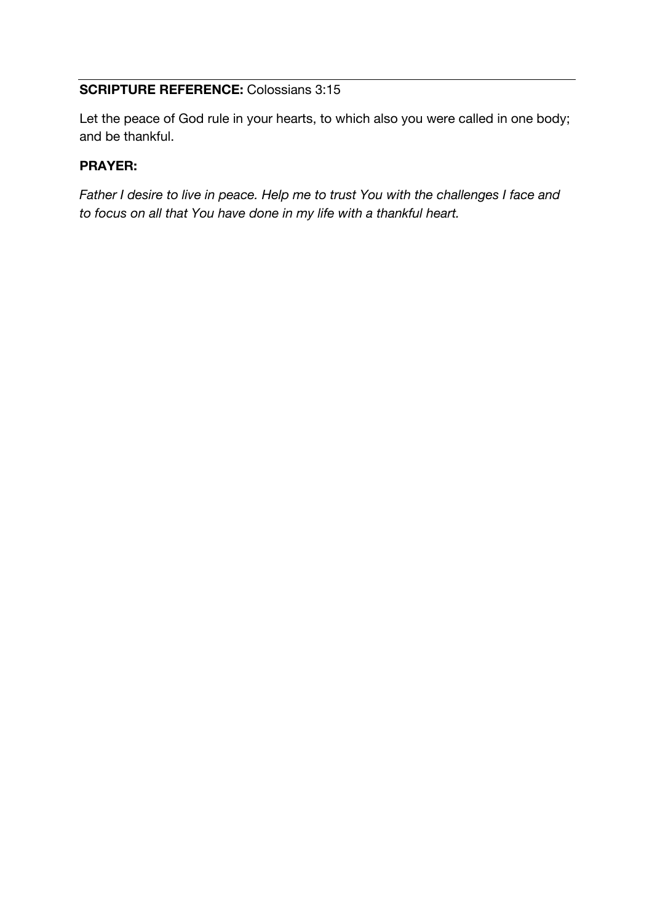## **SCRIPTURE REFERENCE:** Colossians 3:15

Let the peace of God rule in your hearts, to which also you were called in one body; and be thankful.

# **PRAYER:**

*Father I desire to live in peace. Help me to trust You with the challenges I face and to focus on all that You have done in my life with a thankful heart.*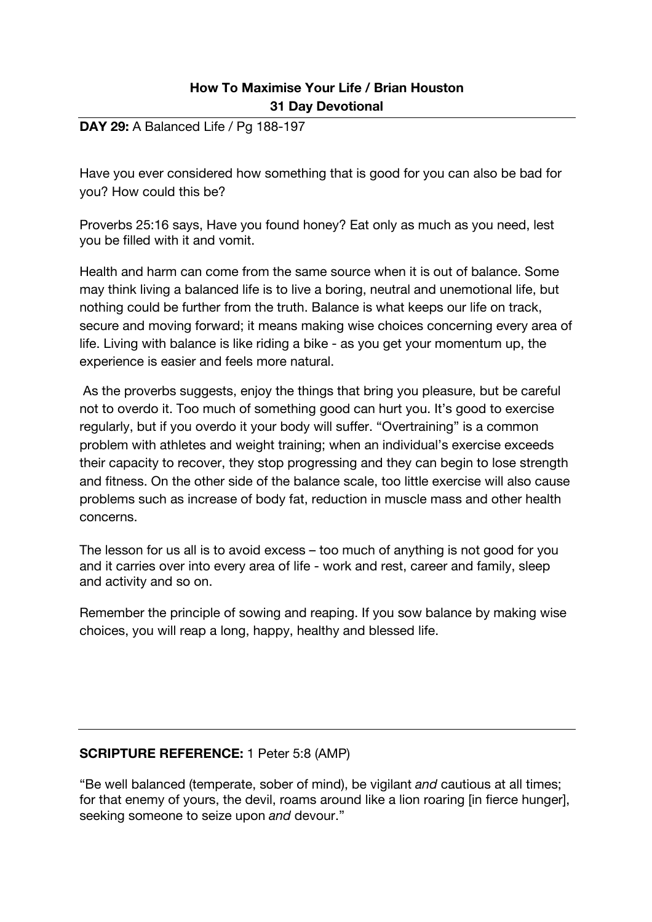### **DAY 29:** A Balanced Life / Pg 188-197

Have you ever considered how something that is good for you can also be bad for you? How could this be?

Proverbs 25:16 says, Have you found honey? Eat only as much as you need, lest you be filled with it and vomit.

Health and harm can come from the same source when it is out of balance. Some may think living a balanced life is to live a boring, neutral and unemotional life, but nothing could be further from the truth. Balance is what keeps our life on track, secure and moving forward; it means making wise choices concerning every area of life. Living with balance is like riding a bike - as you get your momentum up, the experience is easier and feels more natural.

As the proverbs suggests, enjoy the things that bring you pleasure, but be careful not to overdo it. Too much of something good can hurt you. It's good to exercise regularly, but if you overdo it your body will suffer. "Overtraining" is a common problem with athletes and weight training; when an individual's exercise exceeds their capacity to recover, they stop progressing and they can begin to lose strength and fitness. On the other side of the balance scale, too little exercise will also cause problems such as increase of body fat, reduction in muscle mass and other health concerns.

The lesson for us all is to avoid excess – too much of anything is not good for you and it carries over into every area of life - work and rest, career and family, sleep and activity and so on.

Remember the principle of sowing and reaping. If you sow balance by making wise choices, you will reap a long, happy, healthy and blessed life.

# **SCRIPTURE REFERENCE:** 1 Peter 5:8 (AMP)

"Be well balanced (temperate, sober of mind), be vigilant *and* cautious at all times; for that enemy of yours, the devil, roams around like a lion roaring [in fierce hunger], seeking someone to seize upon *and* devour."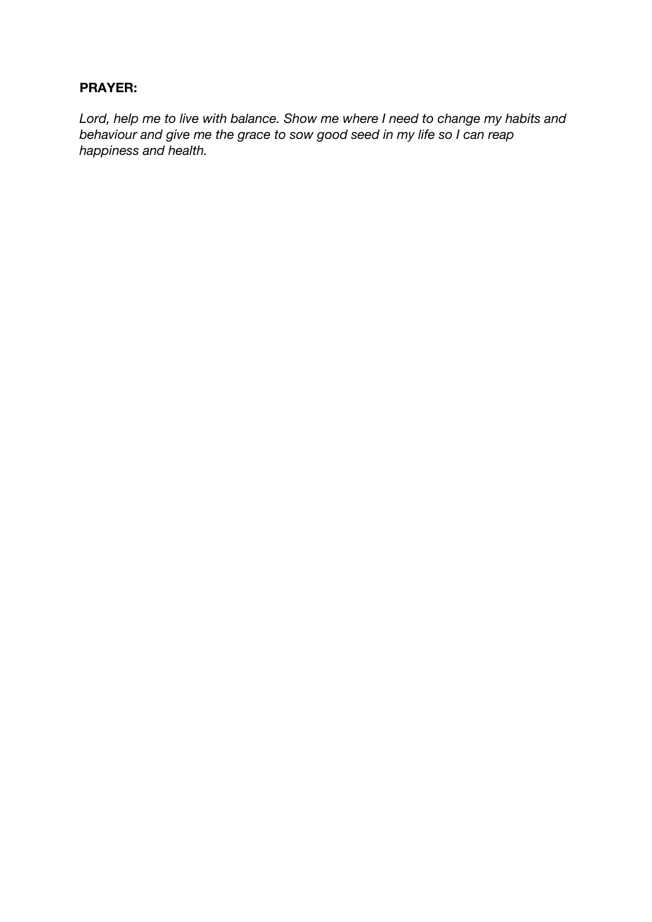### **PRAYER:**

*Lord, help me to live with balance. Show me where I need to change my habits and behaviour and give me the grace to sow good seed in my life so I can reap happiness and health.*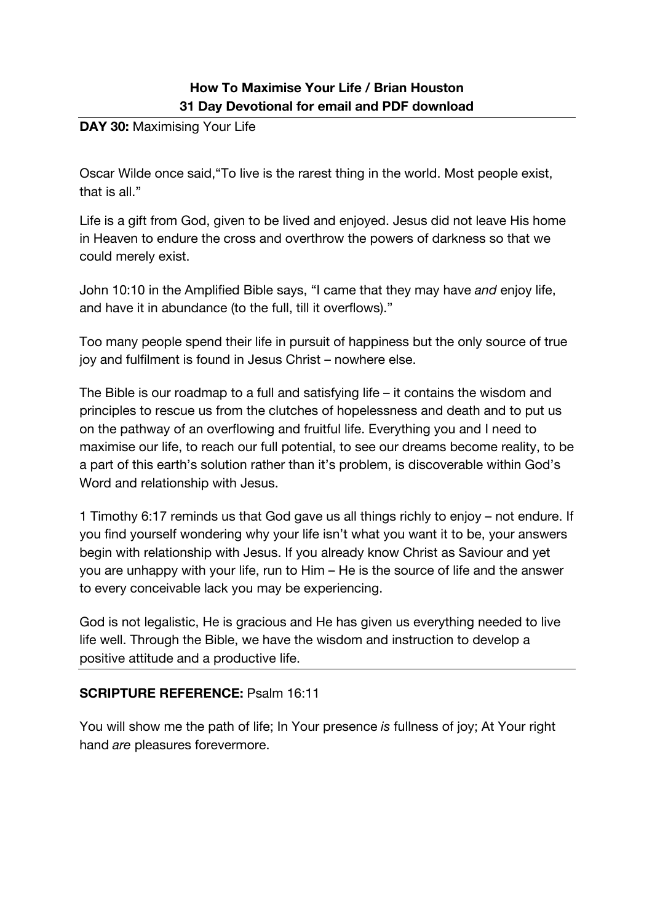# **How To Maximise Your Life / Brian Houston 31 Day Devotional for email and PDF download**

**DAY 30: Maximising Your Life** 

Oscar Wilde once said,"To live is the rarest thing in the world. Most people exist, that is all."

Life is a gift from God, given to be lived and enjoyed. Jesus did not leave His home in Heaven to endure the cross and overthrow the powers of darkness so that we could merely exist.

John 10:10 in the Amplified Bible says, "I came that they may have *and* enjoy life, and have it in abundance (to the full, till it overflows)."

Too many people spend their life in pursuit of happiness but the only source of true joy and fulfilment is found in Jesus Christ – nowhere else.

The Bible is our roadmap to a full and satisfying life – it contains the wisdom and principles to rescue us from the clutches of hopelessness and death and to put us on the pathway of an overflowing and fruitful life. Everything you and I need to maximise our life, to reach our full potential, to see our dreams become reality, to be a part of this earth's solution rather than it's problem, is discoverable within God's Word and relationship with Jesus.

1 Timothy 6:17 reminds us that God gave us all things richly to enjoy – not endure. If you find yourself wondering why your life isn't what you want it to be, your answers begin with relationship with Jesus. If you already know Christ as Saviour and yet you are unhappy with your life, run to Him – He is the source of life and the answer to every conceivable lack you may be experiencing.

God is not legalistic, He is gracious and He has given us everything needed to live life well. Through the Bible, we have the wisdom and instruction to develop a positive attitude and a productive life.

### **SCRIPTURE REFERENCE:** Psalm 16:11

You will show me the path of life; In Your presence *is* fullness of joy; At Your right hand *are* pleasures forevermore.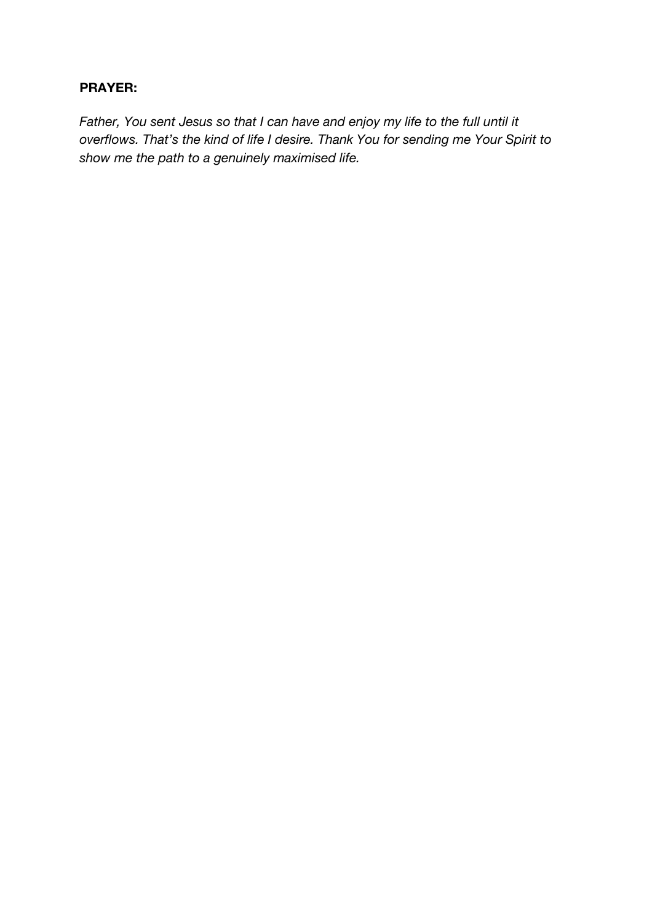### **PRAYER:**

*Father, You sent Jesus so that I can have and enjoy my life to the full until it overflows. That's the kind of life I desire. Thank You for sending me Your Spirit to show me the path to a genuinely maximised life.*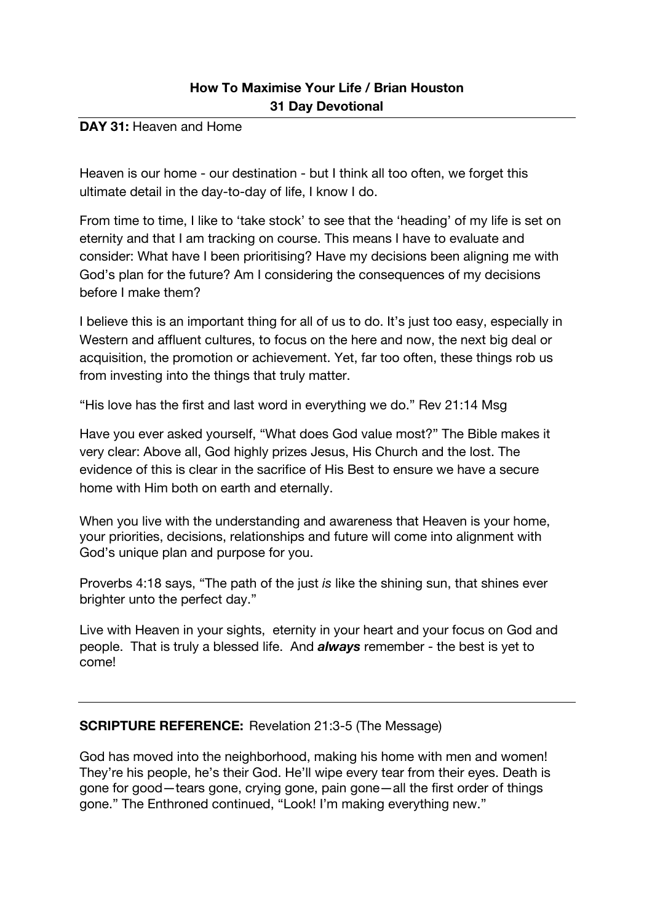#### DAY 31: Heaven and Home

Heaven is our home - our destination - but I think all too often, we forget this ultimate detail in the day-to-day of life, I know I do.

From time to time, I like to 'take stock' to see that the 'heading' of my life is set on eternity and that I am tracking on course. This means I have to evaluate and consider: What have I been prioritising? Have my decisions been aligning me with God's plan for the future? Am I considering the consequences of my decisions before I make them?

I believe this is an important thing for all of us to do. It's just too easy, especially in Western and affluent cultures, to focus on the here and now, the next big deal or acquisition, the promotion or achievement. Yet, far too often, these things rob us from investing into the things that truly matter.

"His love has the first and last word in everything we do." Rev 21:14 Msg

Have you ever asked yourself, "What does God value most?" The Bible makes it very clear: Above all, God highly prizes Jesus, His Church and the lost. The evidence of this is clear in the sacrifice of His Best to ensure we have a secure home with Him both on earth and eternally.

When you live with the understanding and awareness that Heaven is your home. your priorities, decisions, relationships and future will come into alignment with God's unique plan and purpose for you.

Proverbs 4:18 says, "The path of the just *is* like the shining sun, that shines ever brighter unto the perfect day."

Live with Heaven in your sights, eternity in your heart and your focus on God and people. That is truly a blessed life. And *always* remember - the best is yet to come!

# **SCRIPTURE REFERENCE:** Revelation 21:3-5 (The Message)

God has moved into the neighborhood, making his home with men and women! They're his people, he's their God. He'll wipe every tear from their eyes. Death is gone for good—tears gone, crying gone, pain gone—all the first order of things gone." The Enthroned continued, "Look! I'm making everything new."